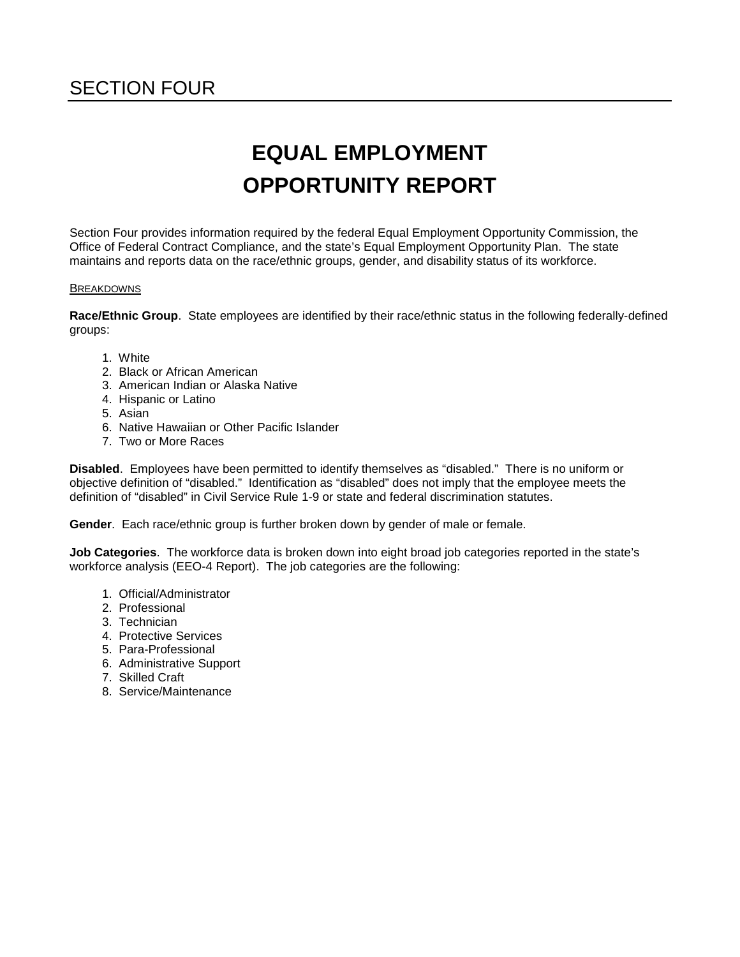# SECTION FOUR

# **EQUAL EMPLOYMENT OPPORTUNITY REPORT**

Section Four provides information required by the federal Equal Employment Opportunity Commission, the Office of Federal Contract Compliance, and the state's Equal Employment Opportunity Plan. The state maintains and reports data on the race/ethnic groups, gender, and disability status of its workforce.

#### **BREAKDOWNS**

**Race/Ethnic Group**. State employees are identified by their race/ethnic status in the following federally-defined groups:

- 1. White
- 2. Black or African American
- 3. American Indian or Alaska Native
- 4. Hispanic or Latino
- 5. Asian
- 6. Native Hawaiian or Other Pacific Islander
- 7. Two or More Races

**Disabled**. Employees have been permitted to identify themselves as "disabled." There is no uniform or objective definition of "disabled." Identification as "disabled" does not imply that the employee meets the definition of "disabled" in Civil Service Rule 1-9 or state and federal discrimination statutes.

**Gender**. Each race/ethnic group is further broken down by gender of male or female.

**Job Categories**. The workforce data is broken down into eight broad job categories reported in the state's workforce analysis (EEO-4 Report). The job categories are the following:

- 1. Official/Administrator
- 2. Professional
- 3. Technician
- 4. Protective Services
- 5. Para-Professional
- 6. Administrative Support
- 7. Skilled Craft
- 8. Service/Maintenance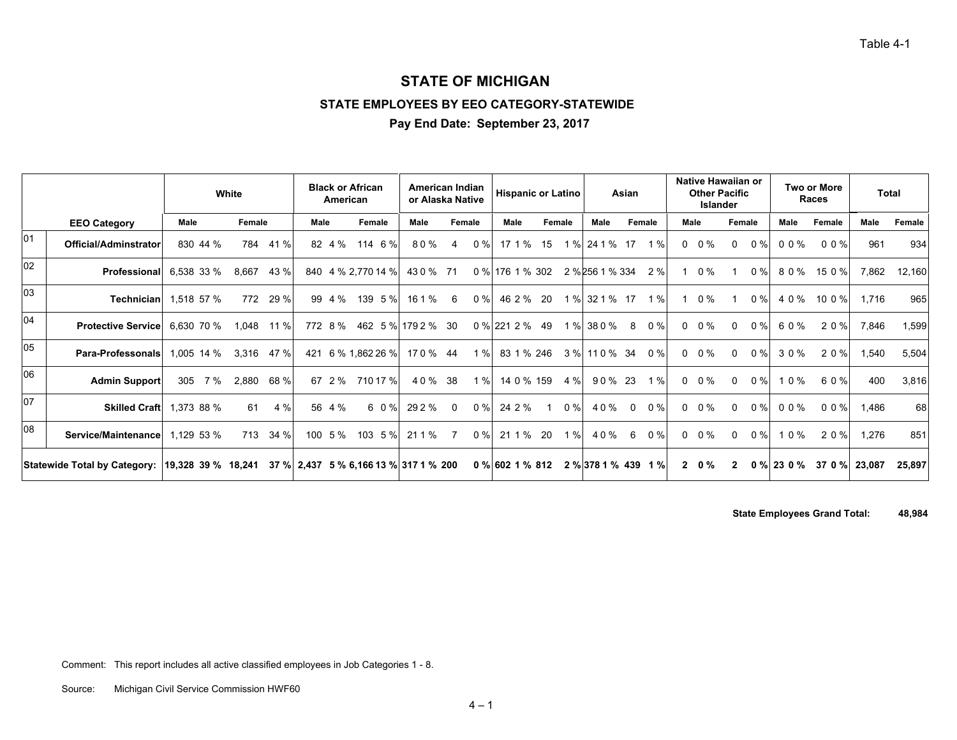Table 4-1

#### **STATE OF MICHIGAN**

#### **STATE EMPLOYEES BY EEO CATEGORY-STATEWIDE**

**Pay End Date: September 23, 2017**

|    |                                                 |             | White         | <b>Black or African</b><br>American   |                |          | American Indian<br>or Alaska Native |                   | <b>Hispanic or Latino</b> |                     | Asian             | Native Hawaiian or<br><b>Islander</b> | <b>Other Pacific</b>    |                 | <b>Two or More</b><br><b>Races</b> | Total  |        |
|----|-------------------------------------------------|-------------|---------------|---------------------------------------|----------------|----------|-------------------------------------|-------------------|---------------------------|---------------------|-------------------|---------------------------------------|-------------------------|-----------------|------------------------------------|--------|--------|
|    | <b>EEO Category</b>                             | <b>Male</b> | Female        | Male                                  | Female         | Male     | Female                              | Male              | Female                    | Male                | Female            | Male                                  | Female                  | Male            | Female                             | Male   | Female |
| 01 | Official/Adminstrator                           | 830 44 %    | 784<br>41 %   |                                       | 82 4 % 114 6 % | 80%      | $0\%$                               | 17 1 % 15         |                           | 1 % 24 1 % 17       | 1 $%$             | $0 \t 0\%$                            | 0%<br>$\Omega$          | 00%             | 00%                                | 961    | 934    |
| 02 | Professional                                    | 6,538 33 %  | 43 %<br>8,667 | 840 4 % 2,770 14 %                    |                | 430 % 71 |                                     | 0 % 176 1 % 302   |                           | 2 % 256 1 % 334 2 % |                   | 1 0 %                                 | $0 \%$                  |                 | 80% 150%                           | 7,862  | 12,160 |
| 03 | Technician                                      | 1,518 57 %  | 29 %<br>772   | 99 4 %                                | 139 5 %        | 16 1 %   | $0\%$<br>-6                         | 46 2 % 20         |                           | 1 % 32 1 % 17       | 1%                | $1 \t0\%$                             | 0%                      | 4 0 %           | 10 0 %                             | 1.716  | 965    |
| 04 | <b>Protective Service</b>                       | 6,630 70 %  | 1,048<br>11 % | 772 8 % 462 5 % 179 2 % 30            |                |          |                                     | $0\%$ 221 2 % 49  |                           | 1 % 38 0 %          | $0\%$<br>8        | $0 \t 0\%$                            | $0 \%$<br>$\Omega$      | 60%             | 20%                                | 7,846  | 1,599  |
| 05 | <b>Para-Professonals</b> 1,005 14 %             |             | $3,316$ 47 %  | 421 6 % 1,862 26 %                    |                | 170 % 44 | 1 %                                 | 83 1 % 246        |                           | 3 % 11 0 % 34 0 %   |                   | $0 \t 0\%$                            | $0\%$<br>$\overline{0}$ | 30%             | 20%                                | 1,540  | 5,504  |
| 06 | <b>Admin Support</b>                            | 305<br>7 %  | 2,880<br>68 % | 67 2 %                                | 710 17 %       | 40 % 38  | 1%                                  | 14 0 % 159        | 4 %                       | 90 % 23             | 1%                | $0 \t 0\%$                            | 0%<br>$\Omega$          | 10%             | 60%                                | 400    | 3,816  |
| 07 | <b>Skilled Craft</b>                            | 1,373 88 %  | 4 %<br>61     | 56 4 %                                | 6 0 %          | 29 2 %   | 0%<br>$\Omega$                      | 24 2 %            | 0%                        | 40%                 | $0\%$<br>$\Omega$ | $0 \t 0\%$                            | $0 \%$<br>$\Omega$      | 00%             | 00%                                | 1,486  | 68     |
| 08 | Service/Maintenance                             | 1,129 53 %  | 713<br>34 %   | 100 5 % 103 5 %                       |                | 211%     | 0%<br>-7                            | 21 1 %            | 20<br>1%                  | 40%                 | $0\%$<br>6        | $0 \t 0\%$                            | $0\%$<br>$\overline{0}$ | 10%             | 20%                                | 1,276  | 851    |
|    | Statewide Total by Category: 19,328 39 % 18,241 |             |               | 37 % 2,437 5 % 6,166 13 % 317 1 % 200 |                |          |                                     | $0\%$ 602 1 % 812 |                           | 2 % 378 1 % 439 1 % |                   | $2\quad0\%$                           |                         | $0\%$ 23 0 $\%$ | 370%                               | 23,087 | 25,897 |

**State Employees Grand Total: 48,984**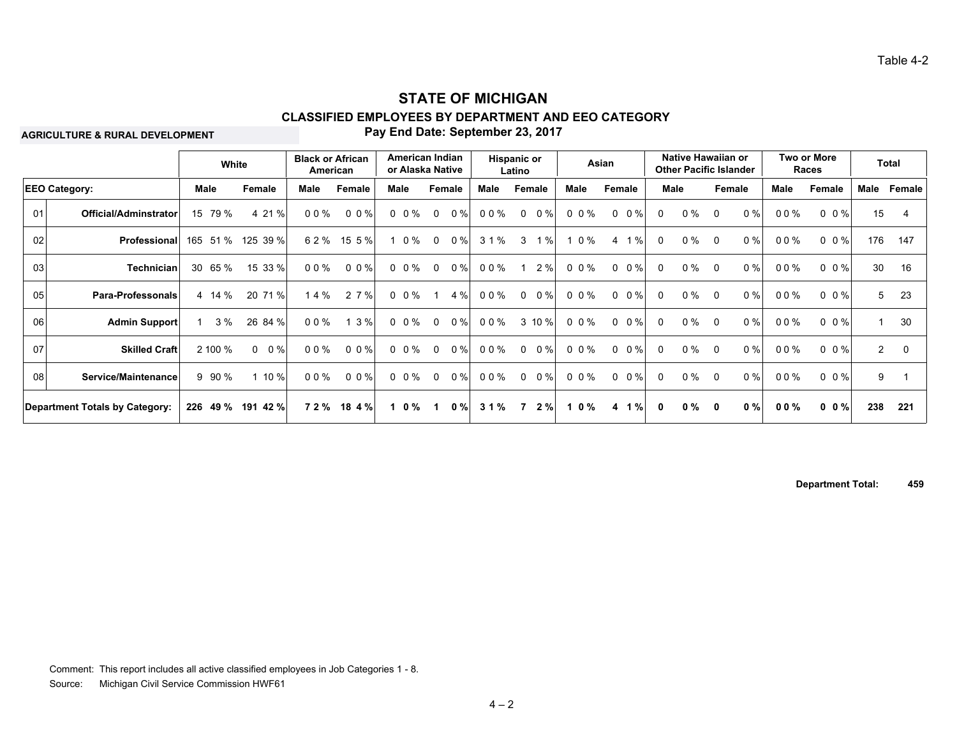#### **Pay End Date: September 23, 2017 CLASSIFIED EMPLOYEES BY DEPARTMENT AND EEO CATEGORY STATE OF MICHIGAN**

**AGRICULTURE & RURAL DEVELOPMENT**

|                      |                                | White       |                      | <b>Black or African</b><br>American |           |      |           | American Indian<br>or Alaska Native |       |       | <b>Hispanic or</b><br>Latino |        |           | Asian              |              | Native Hawaiian or<br><b>Other Pacific Islander</b> |              |       |        | Two or More<br>Races |                | <b>Total</b> |
|----------------------|--------------------------------|-------------|----------------------|-------------------------------------|-----------|------|-----------|-------------------------------------|-------|-------|------------------------------|--------|-----------|--------------------|--------------|-----------------------------------------------------|--------------|-------|--------|----------------------|----------------|--------------|
| <b>EEO Category:</b> |                                | Male        | Female               | Male                                | Female    | Male |           | Female                              |       | Male  | Female                       |        | Male      | Female             |              | Male                                                | Female       |       | Male   | Female               | Male           | Female       |
| 01                   | Official/Adminstrator          |             | 4 21 %               | $00\%$                              | $0 \t0\%$ |      | $0\,0\%$  | $\mathbf 0$                         | 0%    | 00%   | $\mathbf 0$                  | $0\%$  | $0 \t0\%$ | $0 \t 0 \%$        | $\Omega$     | $0\%$                                               | $\Omega$     | 0%    | 00%    | $0 \t0\%$            | 15             | 4            |
| 02                   | Professional                   |             | 165 51 %<br>125 39 % | 62%                                 | 15 5 %    |      | $0\%$     | $\mathbf 0$                         | 0%    | 3 1 % | 3                            | 1%     | 0 %       | 1%<br>4            | 0            | $0\%$                                               | $\Omega$     | $0\%$ | $00\%$ | $0 \t0\t%$           | 176            | 147          |
| 03                   | Technician                     | 30<br>65 %  | 15 33 %              | $00\%$                              | $0 \t0\%$ |      | $0 \t0\%$ | $\mathbf 0$                         | 0%    | 00%   |                              | 2%     | $0\,0\%$  | $0 \t 0 \%$        | $\Omega$     | 0%                                                  | $\Omega$     | $0\%$ | $00\%$ | $0 \t0\%$            | 30             | 16           |
| 05                   | Para-Professonals              | 4 14 %      | 20 71 %              | 14%                                 | 2 7 %     |      | $0 \t0\%$ |                                     | 4 %   | 00%   | $\Omega$                     | $0\%$  | 0 0 %     | $0 \t 0 \%$        | $\Omega$     | $0\%$                                               | $\Omega$     | 0%    | $00\%$ | $0 \t0\%$            | 5              | 23           |
| 06                   | <b>Admin Support</b>           | 3%          | 26 84 %              | $00\%$                              | 1 3 %     |      | $0 \t0\%$ | $\mathbf 0$                         | $0\%$ | 00%   |                              | 3 10 % | 0 0 %     | $0 \t 0 \%$        | $\Omega$     | $0\%$                                               | $\Omega$     | $0\%$ | 00%    | $0 \t0\%$            |                | 30           |
| 07                   | <b>Skilled Craft</b>           | 2 100 %     | $0 \t 0\%$           | 00%                                 | 0.0%      |      | $0 \t0\%$ | $\mathbf 0$                         | 0%    | 00%   | $\Omega$                     | $0\%$  | $0\,0\%$  | $0 \t0\frac{9}{6}$ | 0            | $0\%$                                               | $\Omega$     | $0\%$ | $00\%$ | $0 \t0\%$            | $\overline{2}$ | 0            |
| 08                   | Service/Maintenance            | $9\,90\,\%$ | 1 10 %               | $00\%$                              | 0 0 %     |      | $0 \t0\%$ | $\mathbf{0}$                        | 0%    | 00%   | $\mathbf{0}$                 | $0\%$  | 0 0 %     | $0 \t 0 \%$        | $\Omega$     | $0\%$                                               | $\Omega$     | $0\%$ | $00\%$ | $0 \t0\%$            | 9              |              |
|                      | Department Totals by Category: | 226 49 %    | 191 42 %             | 72%                                 | 18 4 %    |      | $1 \t0\%$ |                                     | $0\%$ | 31%   | 7                            | 2%     | 0 %       | 1%<br>4            | $\mathbf{0}$ | $0\%$                                               | $\mathbf{0}$ | $0\%$ | $00\%$ | $0 \t0 \%$           | 238            | 221          |

**Department Total: 459**

Comment: This report includes all active classified employees in Job Categories 1 - 8.

Source: Michigan Civil Service Commission HWF61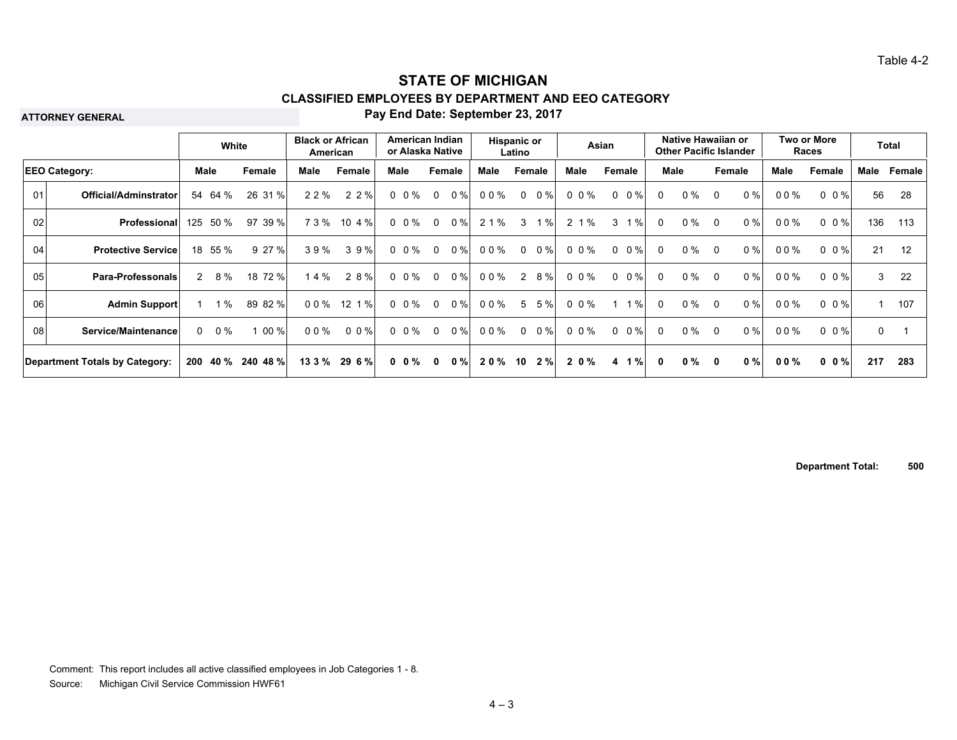**ATTORNEY GENERAL**

#### **Pay End Date: September 23, 2017**

|    |                                |   | White      |                   | <b>Black or African</b> | American           | American Indian<br>or Alaska Native |              |        | Hispanic or | Latino      |            |       | Asian  |             |              | Native Hawaiian or<br><b>Other Pacific Islander</b> |          |        |        | Two or More<br>Races    |              | Total  |
|----|--------------------------------|---|------------|-------------------|-------------------------|--------------------|-------------------------------------|--------------|--------|-------------|-------------|------------|-------|--------|-------------|--------------|-----------------------------------------------------|----------|--------|--------|-------------------------|--------------|--------|
|    | <b>EEO Category:</b>           |   | Male       | Female            | Male                    | Female             | Male                                |              | Female | Male        |             | Female     | Male  | Female |             | Male         |                                                     |          | Female | Male   | Female                  | Male         | Female |
| 01 | Official/Adminstrator          |   | 54 64 %    | 26 31 %           | 2 2 %                   | 2 2 %              | $0 \t0\%$                           | $\mathbf 0$  | $0\%$  | 00%         | $\mathbf 0$ | $0\%$      | 0 0 % |        | $0 \t 0 \%$ | $\Omega$     | $0\%$                                               | $\Omega$ | 0%     | $00\%$ | $0 \t 0 \t \frac{9}{6}$ | 56           | -28    |
| 02 | Professional                   |   | 125 50 %   | 97 39 %           | 73%                     | $10 \t{4\%}$       | $0 \t0\%$                           | $\mathbf{0}$ | $0\%$  | 2 1 %       | 3           | $1\%$      | 2 1 % | 3      | 1%          | $\Omega$     | $0\%$                                               | $\Omega$ | 0%     | $00\%$ | $0 \t0\%$               | 136          | 113    |
| 04 | <b>Protective Service</b>      |   | 18 55 %    | 9 27 %            | 39%                     | 39%                | $0 \t0\%$                           | $\mathbf{0}$ | $0\%$  | 00%         | $\Omega$    | $0\%$      | 0 0 % |        | $0 \t 0 \%$ | $\Omega$     | $0\%$                                               | $\Omega$ | $0\%$  | $00\%$ | $0 \t 0 \t \frac{9}{6}$ | 21           | 12     |
| 05 | <b>Para-Professonals</b>       |   | $2 \t 8\%$ | 18 72 %           | 14%                     | 2 8 %              | $0 \t0\%$                           | $\Omega$     | 0%     | 00%         | 2           | 8%         | 0 0 % |        | $0 \t 0 \%$ | $\Omega$     | $0\%$                                               | $\Omega$ | 0%     | 00%    | $0 \t0 \%$              | 3            | 22     |
| 06 | <b>Admin Support</b>           |   | $1\%$      | 89 82 %           | $00\%$                  | $12 \t1%$          | $0 \t0\%$                           | $\mathbf{0}$ | $0\%$  | 00%         | 5           | 5%         | 0 0 % |        | $1\%$       | $\Omega$     | $0\%$                                               | $\Omega$ | 0%     | 00%    | $0 \t 0 \t \frac{9}{6}$ | $\mathbf{1}$ | 107    |
| 08 | Service/Maintenance            | 0 | $0\%$      | 00 %              | $00\%$                  | $0 \t0\frac{9}{6}$ | $0 \t0\%$                           | $\Omega$     | $0\%$  | 00%         | $\Omega$    | $0\%$      | 0 0 % |        | $0 \t 0 \%$ | $\Omega$     | $0\%$                                               | $\Omega$ | 0%     | 00%    | $0 \t 0 \t \frac{9}{6}$ | 0            |        |
|    | Department Totals by Category: |   |            | 200 40 % 240 48 % |                         | 13 3 % 29 6 %      | $0 \t0\%$                           | $\mathbf{0}$ | 0%     | 20%         |             | $10 \t2\%$ | 2 0 % |        | 4 1 %       | $\mathbf{0}$ | 0 %                                                 | 0        | 0%     | $00\%$ | $0 \t0\%$               | 217          | 283    |

**Department Total: 500**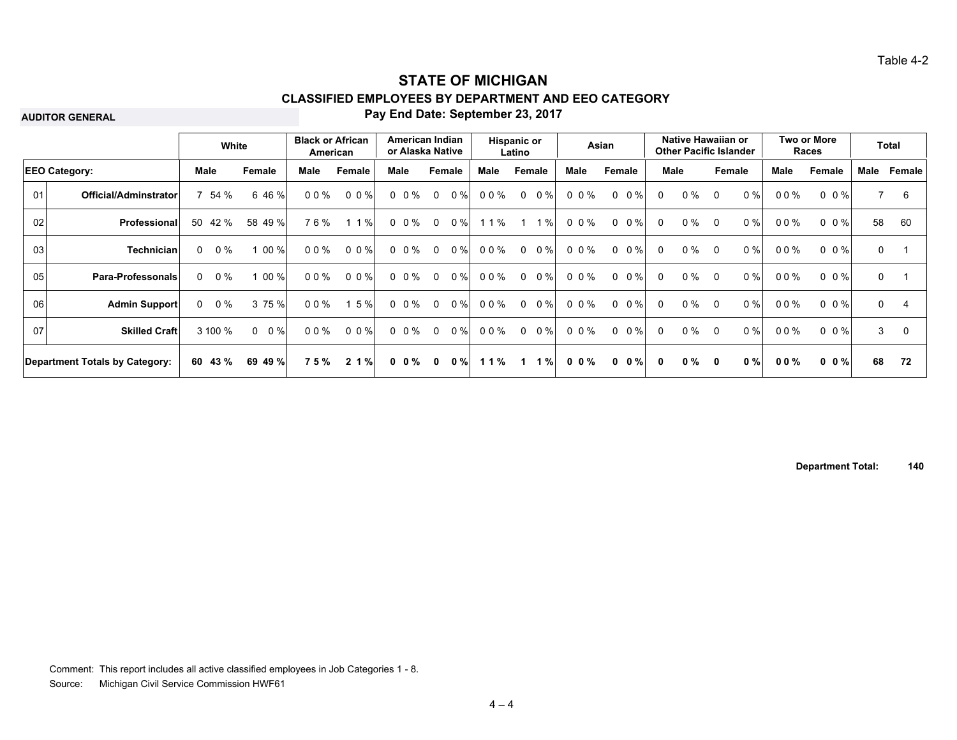**AUDITOR GENERAL**

#### **Pay End Date: September 23, 2017**

|    |                                       |          | White          |                    | <b>Black or African</b><br>American |           |      | American Indian<br>or Alaska Native |                |        | Hispanic or | Latino      |        |             | Asian  |             |              | Native Hawaiian or<br><b>Other Pacific Islander</b> |          |        |             | Two or More<br>Races |              | Total          |
|----|---------------------------------------|----------|----------------|--------------------|-------------------------------------|-----------|------|-------------------------------------|----------------|--------|-------------|-------------|--------|-------------|--------|-------------|--------------|-----------------------------------------------------|----------|--------|-------------|----------------------|--------------|----------------|
|    | <b>EEO Category:</b>                  |          | <b>Male</b>    | Female             | Male                                | Female    | Male |                                     |                | Female | Male        |             | Female | <b>Male</b> | Female |             |              | Male                                                |          | Female | <b>Male</b> | Female               | Male         | Female         |
| 01 | Official/Adminstrator                 |          | 54 %           | 6 46 %             | $00\%$                              | $0 \t0\%$ |      | $0\ 0\%$                            | $\Omega$       | $0\%$  | 00%         | $\mathbf 0$ | $0\%$  | 0 0 %       |        | $0 \t 0 \%$ | $\Omega$     | $0\%$                                               | $\Omega$ | 0%     | $00\%$      | $0 \t0\%$            |              | 6              |
| 02 | Professional                          | 50       | 42 %           | 58 49 %            | 76%                                 | 1 1 %     |      | 0 0 %                               | $\overline{0}$ | 0%     | 11%         |             | 1%     | 0 0 %       |        | $0 \t 0 \%$ | 0            | $0\%$                                               | $\Omega$ | 0%     | $00\%$      | $0 \t0\%$            | 58           | 60             |
| 03 | <b>Technician</b>                     | $\Omega$ | $0\%$          | 00 %               | $00\%$                              | 0 0 %     |      | $0 \t0\%$                           | $\overline{0}$ | $0\%$  | 00%         | $\Omega$    | $0\%$  | $0 \t0\%$   |        | $0 \t 0 \%$ | $\Omega$     | $0\%$                                               | $\Omega$ | 0%     | 00%         | $0 \t0 \%$           | $\mathbf 0$  |                |
| 05 | <b>Para-Professonals</b>              |          | $0 \t 0\%$     | $00 \%$            | 00%                                 | $0 \t0\%$ |      | $0 \t0\%$                           | $\Omega$       | 0%     | 00%         | $\Omega$    | $0\%$  | 0 0 %       |        | $0 \t 0\%$  | $\mathbf{0}$ | $0\%$                                               | $\Omega$ | 0%     | $00\%$      | $0 \t0\%$            | $\mathbf 0$  |                |
| 06 | <b>Admin Support</b>                  |          | $0 \t 0\%$     | 3 75 %             | $00\%$                              | 5%        |      | $0 \t0\%$                           | $\Omega$       | 0%     | 00%         | $\Omega$    | $0\%$  | 0 0 %       |        | $0 \t 0 \%$ | $\Omega$     | $0\%$                                               | $\Omega$ | 0%     | $00\%$      | $0 \t0\%$            | $\mathbf{0}$ | $\overline{4}$ |
| 07 | <b>Skilled Craft</b>                  |          | 3 100 %        | 0%<br>$\mathbf{0}$ | 00%                                 | $0 \t0\%$ |      | $0 \t0\%$                           | $\Omega$       | 0%     | 0 0 %       | $\Omega$    | $0\%$  | 0 0 %       |        | $0 \t 0 \%$ | $\Omega$     | $0\%$                                               | $\Omega$ | 0%     | 00%         | $0 \t0\%$            | 3            | $\Omega$       |
|    | <b>Department Totals by Category:</b> |          | $60\quad 43\%$ | 69 49 %            | 75%                                 | 2 1 %     |      | $0 \t0\%$                           | $\mathbf{0}$   | $0 \%$ | 11%         | $\mathbf 1$ | 1%     | $0 \t0\%$   |        | $0 \t 0 \%$ | $\mathbf{0}$ | $0 \%$                                              | 0        | 0%     | $00\%$      | $0 \t0 \%$           | 68           | 72             |

**Department Total: 140**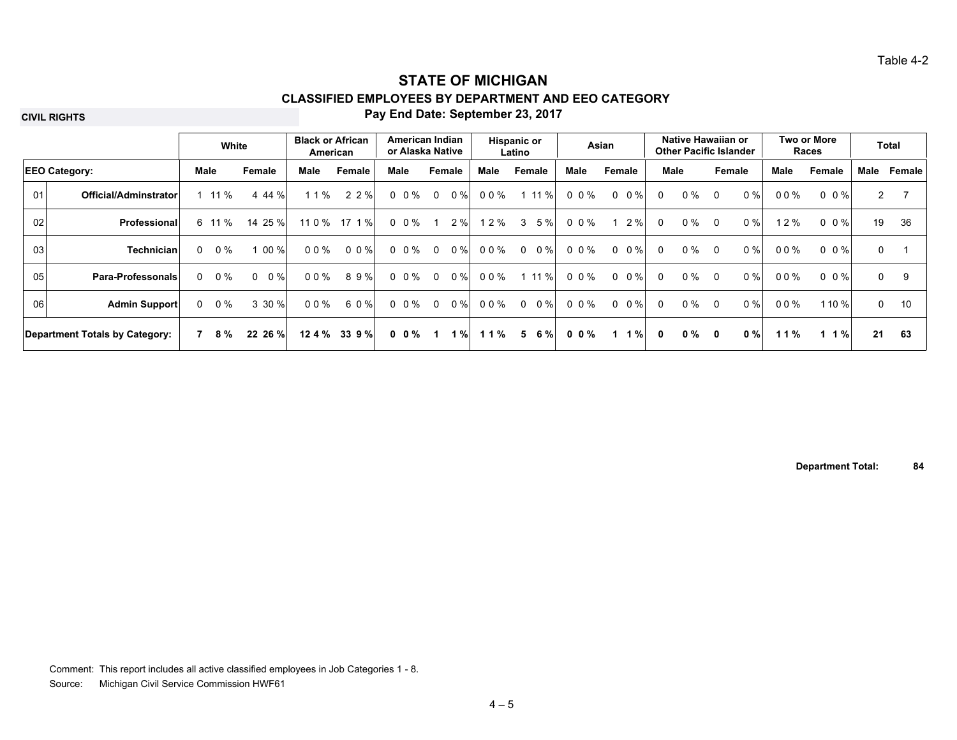**CIVIL RIGHTS**

#### **Pay End Date: September 23, 2017**

|                                |                      | White |        | <b>Black or African</b> | American | American Indian<br>or Alaska Native |                    |                |        | Hispanic or<br>Latino |          |        | Asian     |             | Native Hawaiian or<br><b>Other Pacific Islander</b> |       |          |        | Two or More<br>Races |                         | Total        |        |
|--------------------------------|----------------------|-------|--------|-------------------------|----------|-------------------------------------|--------------------|----------------|--------|-----------------------|----------|--------|-----------|-------------|-----------------------------------------------------|-------|----------|--------|----------------------|-------------------------|--------------|--------|
| <b>EEO Category:</b>           |                      |       | Male   | Female                  | Male     | Female                              | Male               |                | Female | Male                  | Female   |        | Male      | Female      |                                                     | Male  |          | Female | Male                 | Female                  | Male         | Female |
| 01<br>Official/Adminstrator    |                      |       | 11 %   | 4 44 %                  | 11%      | 2 2 %                               | $0 \t0\%$          | $\Omega$       | $0\%$  | 00%                   |          | 1 11 % | 0 0 %     | $0 \t 0 \%$ | $\Omega$                                            | $0\%$ | $\Omega$ | 0%     | $00\%$               | $0 \t 0 \t \frac{9}{6}$ | $\mathbf{2}$ |        |
| 02                             | <b>Professional</b>  |       | 6 11 % | 14 25 %                 | 11 0 %   | 17 1 %                              | $0 \t0\%$          |                | 2 %    | 2%                    | 3        | 5 %    | 0 0 %     | 2%          | $\Omega$                                            | $0\%$ | $\Omega$ | 0%     | 12%                  | $0 \t 0 \t \frac{9}{6}$ | 19           | 36     |
| 03                             | Technician           | 0     | $0\%$  | 00 %                    | 00%      | $0.0\%$                             | $0\,0\%$           | $\Omega$       | $0\%$  | 00%                   | $\Omega$ | $0\%$  | 0 0 %     | $0 \t 0 \%$ | $\Omega$                                            | $0\%$ | $\Omega$ | 0%     | $00\%$               | $0 \t 0 \t \frac{9}{6}$ | $\Omega$     |        |
| 05                             | Para-Professonals    | 0     | 0 %    | $0\%$<br>$\Omega$       | 00%      | 89%                                 | $0 \t0\frac{9}{6}$ | $\overline{0}$ | $0\%$  | 00%                   |          | 111%   | 0 0 %     | $0 \t 0 \%$ | $\Omega$                                            | $0\%$ | $\Omega$ | 0%     | $00\%$               | $0 \t 0 \t \frac{9}{6}$ | $\mathbf 0$  | 9      |
| 06                             | <b>Admin Support</b> |       | 0 %    | 3 30 %                  | 00%      | 60%                                 | $0 \t0\frac{9}{6}$ | $\Omega$       | 0%     | 00%                   | $\Omega$ | $0\%$  | 0 0 %     | $0 \t 0 \%$ | $\mathbf{0}$                                        | $0\%$ | $\Omega$ | 0%     | $00\%$               | 110 %                   | $\mathbf{0}$ | 10     |
| Department Totals by Category: |                      |       | 7 8 %  | 22 26 %                 | 12.4%    | 339%                                | $0 \t0\%$          | $\mathbf{1}$   | 1%     | $11\%$                | 5        | 6 %    | $0 \t0\%$ | 1%          | $\mathbf{0}$                                        | 0 %   | 0        | 0%     | 11%                  | 1 1 %                   | 21           | 63     |

**Department Total: 84**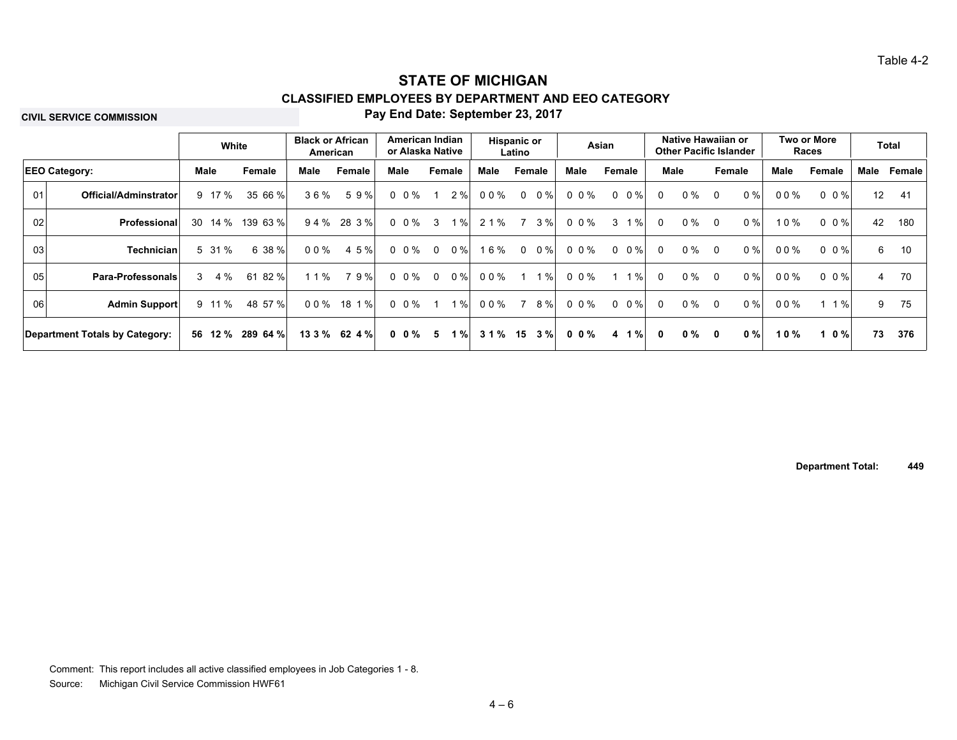**CIVIL SERVICE COMMISSION**

#### **Pay End Date: September 23, 2017**

|                 |                                |                      | White      | <b>Black or African</b> | American       |           | American Indian<br>or Alaska Native |           | <b>Hispanic or</b><br>Latino |       | Asian                    |          |       | Native Hawaiian or<br><b>Other Pacific Islander</b> |       |        | Two or More<br>Races    |      | <b>Total</b> |
|-----------------|--------------------------------|----------------------|------------|-------------------------|----------------|-----------|-------------------------------------|-----------|------------------------------|-------|--------------------------|----------|-------|-----------------------------------------------------|-------|--------|-------------------------|------|--------------|
|                 | <b>EEO Category:</b>           | Male                 | Female     | Male                    | Female         | Male      | Female                              | Male      | Female                       | Male  | Female                   |          | Male  | Female                                              |       | Male   | Female                  | Male | Female       |
| 01              | Official/Adminstrator          | 9 17 %               | 35 66 %    | 36%                     | 59%            | $0 \t0\%$ | 2%<br>-1                            | 00%       | 0 %<br>$\Omega$              | 0 0 % | $0 \t 0 \%$              | 0        | $0\%$ | $\Omega$                                            | $0\%$ | 00%    | $0 \t0 \t%$             | 12   | -41          |
| 02              | <b>Professional</b>            | 14 %<br>30           | 139 63 %   | 94%                     | 28 3 %         | $0 \t0\%$ | 1%<br>$\mathbf{3}$                  | 2 1 %     | 3%<br>$\overline{7}$         | 0 0 % | 1%<br>3                  | 0        | $0\%$ | - 0                                                 | 0%    | 10%    | $0 \t 0 \t \frac{9}{6}$ | 42   | 180          |
| 03 <sub>l</sub> | <b>Technician</b>              | 5 31 %               | 6 38 %     | 00%                     | 4 5 %          | $0 \t0\%$ | 0%<br>$\Omega$                      | 16%       | $0\%$<br>$\Omega$            | 0 0 % | $0 \t 0 \%$              | 0        | $0\%$ | - 0                                                 | 0%    | 00%    | $0 \t0\%$               | 6    | 10           |
| 05              | <b>Para-Professonals</b>       | 4 %<br>$\mathcal{S}$ | 82 %<br>61 | 1 1 %                   | 79%            | $0 \t0\%$ | $0\%$<br>$\overline{0}$             | 00%       | $1\%$                        | 0 0 % | $1\%$                    | $\Omega$ | $0\%$ | - 0                                                 | 0%    | 00%    | $0 \t0\%$               | 4    | - 70         |
| 06              | <b>Admin Support</b>           | 9 11 %               | 48 57 %    | 00%                     | 18 1 %         | $0 \t0\%$ | $1 \%$<br>-1                        | 00%       | 8%<br>-7                     | 0 0 % | $0 \t 0 \%$              | 0        | $0\%$ | - 0                                                 | $0\%$ | $00\%$ | $1 \%$                  | 9    | - 75         |
|                 | Department Totals by Category: | 56 12 %              | 289 64 %   |                         | $133\%$ 62 4 % | $0 \t0\%$ | $1 \%$<br>- 5                       | $31\%$ 15 | 3%                           | 00%   | $1 \%$<br>$\overline{4}$ | $\bf{0}$ | 0 %   | 0                                                   | 0%    | 10%    | 0 %                     | 73   | 376          |

**Department Total: 449**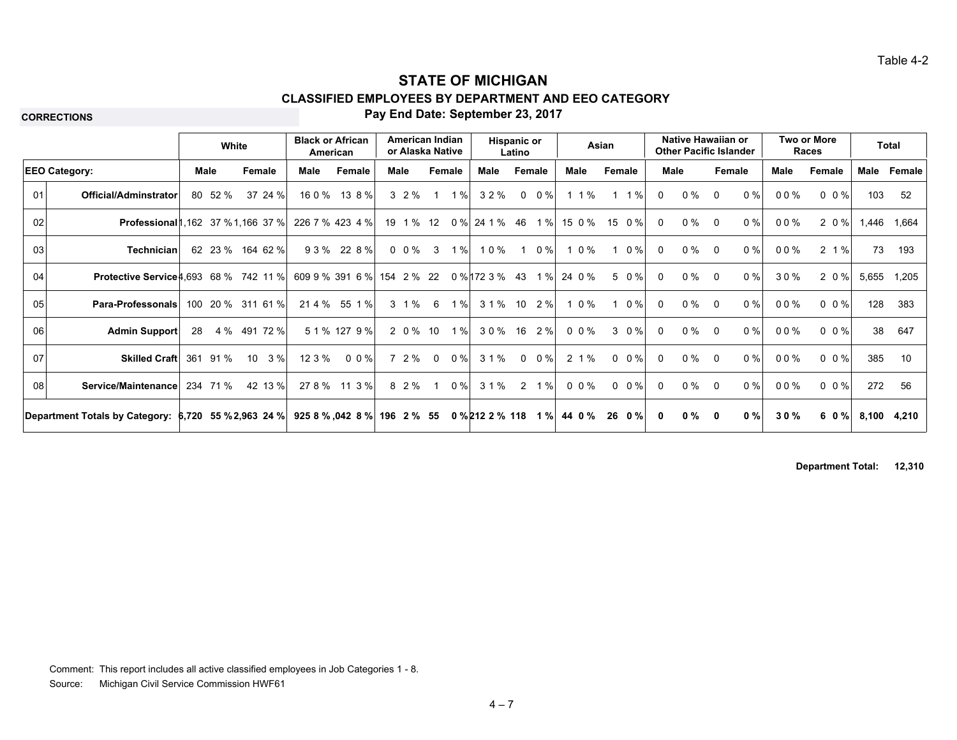**CORRECTIONS**

### **Pay End Date: September 23, 2017**

|    |                                                      |     | White    |                   | American | <b>Black or African</b>       |      | American Indian<br>or Alaska Native |                |        |                 | <b>Hispanic or</b><br>Latino |            |        | Asian        |             |              | Native Hawaiian or<br><b>Other Pacific Islander</b> |          |       |        | Two or More<br>Races |       | <b>Total</b> |
|----|------------------------------------------------------|-----|----------|-------------------|----------|-------------------------------|------|-------------------------------------|----------------|--------|-----------------|------------------------------|------------|--------|--------------|-------------|--------------|-----------------------------------------------------|----------|-------|--------|----------------------|-------|--------------|
|    | <b>EEO Category:</b>                                 |     | Male     | <b>Female</b>     | Male     | Female                        | Male |                                     |                | Female | Male            |                              | Female     | Male   |              | Female      | Male         |                                                     | Female   |       | Male   | Female               | Male  | Female       |
| 01 | Official/Adminstrator                                |     | 80 52 %  | 37 24 %           | 16 0 %   | 13 8 %                        |      | $3\;\;2\;\%$                        |                | 1%     | 32%             |                              | $0 \t 0\%$ | 1 1 %  | $\mathbf{1}$ | 1%          | $\Omega$     | $0\%$                                               | $\Omega$ | $0\%$ | 00%    | $0 \t0\%$            | 103   | -52          |
| 02 | <b>Professional</b> 1, 162 37 % 1, 166 37 %          |     |          |                   |          | 226 7 % 423 4 %               |      | 19 1 % 12                           |                | 0%     | 24 1 % 46 1 %   |                              |            | 15 0 % | 15           | $0\%$       | $\Omega$     | $0\%$                                               | $\Omega$ | $0\%$ | 00%    | 2 0 %                |       | 1,446 1,664  |
| 03 | <b>Technician</b>                                    |     |          | 62 23 % 164 62 %  |          | 93% 228%                      |      | 0 0 %                               | 3 <sup>1</sup> | 1 %    | 10%             |                              | $1 \t0\%$  | 1 0 %  |              | 1 0 %       | $\Omega$     | $0\%$                                               | 0        | 0%    | 00%    | 2 1 %                | 73    | 193          |
| 04 | <b>Protective Service 4.693 68 % 742 11 %</b>        |     |          |                   |          | 609 9 % 391 6 %               |      | 154 2 % 22                          |                |        | 0 % 172 3 % 43  |                              | $1\%$      | 24 0 % |              | 5 0 %       | $\Omega$     | $0\%$                                               | $\Omega$ | $0\%$ | 30%    | 2 0 %                | 5,655 | 1,205        |
| 05 | <b>Para-Professonals</b>                             |     |          | 100 20 % 311 61 % |          | 21 4 % 55 1 %                 |      | 3 1 %                               | 6              | 1%     | 3 1 % 10 2 %    |                              |            | 0%     |              | 1 0 %       | $\mathbf{0}$ | $0\%$                                               | $\Omega$ | 0%    | 00%    | $0 \t0\%$            | 128   | 383          |
| 06 | <b>Admin Support</b>                                 | 28  |          | 4 % 491 72 %      |          | 5 1 % 127 9 %                 |      | 2 0 % 10                            |                | 1%     | 30% 16 2%       |                              |            | 0 0 %  |              | 30%         | $\Omega$     | $0\%$                                               | $\Omega$ | 0%    | 00%    | $0 \t0\%$            | 38    | 647          |
| 07 | <b>Skilled Craft</b>                                 | 361 | 91 %     | 10<br>3%          | 12 3 %   | $0\,0\%$                      |      | 7 2 %                               | $\Omega$       | 0%     | 31%             | $\mathbf 0$                  | $0\%$      | 2 1 %  |              | $0 \t 0 \%$ | $\Omega$     | $0\%$                                               | $\Omega$ | 0%    | $00\%$ | $0 \t 0 \%$          | 385   | 10           |
| 08 | Service/Maintenance                                  |     | 234 71 % | 42 13 %           |          | 278% 113%                     |      | 8 2 %                               | $\overline{1}$ | $0\%$  | 31%             |                              | 2 1 %      | 0 0 %  |              | $0 \t 0 \%$ | $\Omega$     | $0\%$                                               | $\Omega$ | $0\%$ | 00%    | $0 \t0\%$            | 272   | 56           |
|    | Department Totals by Category: 6,720 55 % 2,963 24 % |     |          |                   |          | $9258\%$ , 042 8 % 196 2 % 55 |      |                                     |                |        | 0 % 212 2 % 118 |                              | 1%         | 44 0 % |              | 26 0 %      | $\bf{0}$     | $0\%$                                               | 0        | 0%    | 30%    | 60%                  | 8,100 | 4,210        |

**Department Total: 12,310**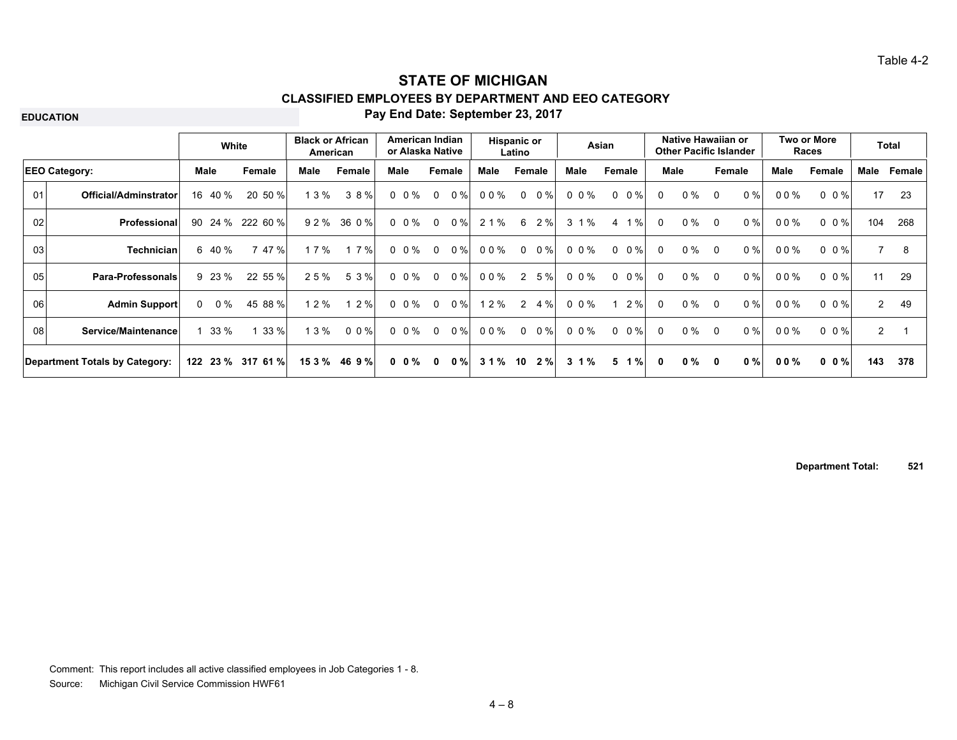**EDUCATION**

#### **Pay End Date: September 23, 2017**

|    |                                |      | White      |                   | <b>Black or African</b> | American      | American Indian<br>or Alaska Native |              |        |       | Hispanic or<br>Latino |        |          | Asian          |             |              | Native Hawaiian or<br><b>Other Pacific Islander</b> |          |        |        | Two or More<br>Races    |                | <b>Total</b> |
|----|--------------------------------|------|------------|-------------------|-------------------------|---------------|-------------------------------------|--------------|--------|-------|-----------------------|--------|----------|----------------|-------------|--------------|-----------------------------------------------------|----------|--------|--------|-------------------------|----------------|--------------|
|    | <b>EEO Category:</b>           | Male |            | Female            | Male                    | Female        | Male                                |              | Female | Male  |                       | Female | Male     | Female         |             | Male         |                                                     |          | Female | Male   | Female                  | Male           | Female       |
| 01 | Official/Adminstrator          |      | 16 40 %    | 20 50 %           | 13%                     | 38%           | $0 \t0\%$                           | $\mathbf 0$  | $0\%$  | 00%   | $\mathbf 0$           | $0\%$  | 0 0 %    |                | $0 \t 0 \%$ | 0            | 0 %                                                 | 0        | 0%     | 00%    | $0 \t 0 \t \frac{9}{6}$ | 17             | 23           |
| 02 | <b>Professional</b>            |      | 90 24 %    | 222 60 %          | 92%                     | 36 0 %        | $0 \t0\%$                           | $\Omega$     | $0\%$  | 2 1 % | 6                     | 2%     | 3 1 %    | $\overline{4}$ | 1%          | $\Omega$     | $0\%$                                               | $\Omega$ | 0%     | 00%    | $0 \t 0 \t \frac{9}{6}$ | 104            | 268          |
| 03 | <b>Technician</b>              |      | 6 40 %     | 47%               | 1 7 $%$                 | 17%           | $0 \t0\%$                           | $\mathbf{0}$ | $0\%$  | 00%   | $\Omega$              | $0\%$  | 0 0 %    |                | $0 \t 0 \%$ | $\Omega$     | $0\%$                                               | - 0      | 0%     | 00%    | $0 \t 0 \t \frac{9}{6}$ | $\overline{7}$ | 8            |
| 05 | <b>Para-Professonals</b>       |      | 9 23 %     | 22 55 %           | 25%                     | 5 3 %         | $0 \t0\%$                           | $\Omega$     | $0\%$  | 00%   | 2                     | 5%     | 0 0 %    |                | $0 \t 0 \%$ | 0            | $0\%$                                               | - 0      | 0%     | 00%    | $0 \t0 \%$              | 11             | 29           |
| 06 | <b>Admin Support</b>           |      | $0 \t 0\%$ | 45 88 %           | 1 2 %                   | 12%           | $0 \t0\%$                           | $\Omega$     | $0\%$  | 12%   | 2                     | $4\%$  | 0 0 %    |                | 2%          | $\Omega$     | $0\%$                                               | $\Omega$ | 0%     | 00%    | $0.0\%$                 | $\mathbf{2}$   | 49           |
| 08 | Service/Maintenance            |      | 33%        | 33%               | 13%                     | $0 \t0\%$     | $0 \t0\%$                           | $\Omega$     | 0%     | 00%   | $\Omega$              | $0\%$  | 0 0 %    |                | $0 \t 0\%$  | $\Omega$     | $0\%$                                               | 0        | 0%     | 00%    | $0 \t 0 \t \frac{9}{6}$ | $\overline{2}$ |              |
|    | Department Totals by Category: |      |            | 122 23 % 317 61 % |                         | 15 3 % 46 9 % | $0 \t0\%$                           | $\mathbf{0}$ | $0 \%$ | 31%   | 10                    | 2%     | $3 \t1%$ | 5              | $1 \%$      | $\mathbf{0}$ | $0 \%$                                              | 0        | 0%     | $00\%$ | $0 \t0 \t%$             | 143            | 378          |

**Department Total: 521**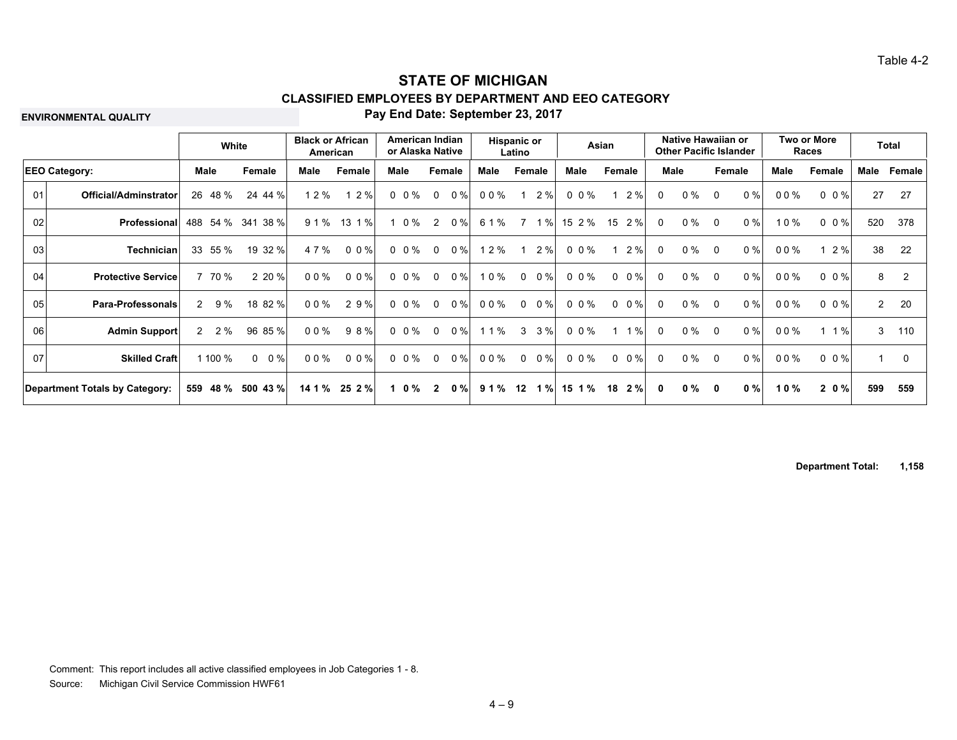**ENVIRONMENTAL QUALITY**

#### **Pay End Date: September 23, 2017**

|                 | White                                 |              |                   | <b>Black or African</b><br>American |           |      |           | American Indian<br>or Alaska Native |       |             | <b>Hispanic or</b><br>Latino |       |             | Asian       |              | Native Hawaiian or<br><b>Other Pacific Islander</b> |                |        |      | Two or More<br>Races    |                | <b>Total</b> |
|-----------------|---------------------------------------|--------------|-------------------|-------------------------------------|-----------|------|-----------|-------------------------------------|-------|-------------|------------------------------|-------|-------------|-------------|--------------|-----------------------------------------------------|----------------|--------|------|-------------------------|----------------|--------------|
|                 | <b>EEO Category:</b>                  | Male         | Female            | Male                                | Female    | Male |           | Female                              |       | <b>Male</b> | Female                       |       | <b>Male</b> | Female      |              | <b>Male</b>                                         |                | Female | Male | Female                  | Male           | Female       |
| 01              | <b>Official/Adminstrator</b>          | 26 48 %      | 24 44 %           | 2%                                  | 12%       |      | $0\ 0\%$  | $\mathbf{0}$                        | 0%    | 00%         |                              | 2%    | $0 \t0\%$   | 2%          | $\Omega$     | $0\%$                                               | 0              | 0%     | 00%  | $0 \t0\%$               | 27             | 27           |
| 02 <sub>l</sub> | Professional                          | 54 %<br>488  | 38 %<br>341       | 91%                                 | 13 1 %    |      | 0 %       | $\overline{2}$                      | 0%    | 6 1 %       | 7                            | 1%    | 15 2 %      | 2%<br>15    | $\Omega$     | $0\%$                                               | $\Omega$       | $0\%$  | 10%  | $0 \t 0 \t \frac{9}{6}$ | 520            | 378          |
| 03              | <b>Technician</b>                     | 55 %<br>33   | 19 32 %           | 4 7 %                               | $0 \t0\%$ |      | $0 \t0\%$ | $\mathbf{0}$                        | $0\%$ | 1 2 %       | -1                           | 2%    | 0 0 %       | 2%          | $\Omega$     | $0\%$                                               | $\Omega$       | 0%     | 00%  | 2%                      | 38             | -22          |
| 04              | <b>Protective Service</b>             | 7 70 %       | 2 20 %            | $00\%$                              | $0 \t0\%$ |      | $0 \t0\%$ | $\mathbf 0$                         | 0%    | 10%         | $\mathbf 0$                  | $0\%$ | 0 0 %       | $0 \t 0 \%$ | $\Omega$     | $0\%$                                               | $\Omega$       | 0%     | 00%  | $0 \t0\%$               | 8              | 2            |
| 05              | <b>Para-Professonals</b>              | $2\quad 9\%$ | 18 82 %           | $00\%$                              | 2 9 %     |      | $0\ 0\%$  | $\mathbf 0$                         | 0 %   | 00%         | $\mathbf 0$                  | $0\%$ | $0 \t0\%$   | $0 \t 0 \%$ | $\mathbf{0}$ | $0\%$                                               | $\Omega$       | 0%     | 00%  | $0 \t0\%$               | $\overline{2}$ | 20           |
| 06 <sup>1</sup> | <b>Admin Support</b>                  | $2 \t2\%$    | 96 85 %           | $00\%$                              | 98%       |      | $0 \t0\%$ | $\mathbf 0$                         | 0%    | 1 1 %       | 3                            | 3%    | $0 \t0\%$   | 1%          | $\mathbf{0}$ | $0\%$                                               | $\Omega$       | 0%     | 00%  | 1%                      | 3              | 110          |
| 07              | <b>Skilled Craft</b>                  | 100 %        | $0\%$<br>$\Omega$ | 00%                                 | 0 0 %     |      | $0 \t0\%$ | $\mathbf 0$                         | 0%    | 00%         | $\Omega$                     | $0\%$ | 0 0 %       | $0 \t 0 \%$ | $\Omega$     | $0\%$                                               | $\overline{0}$ | 0%     | 00%  | $0 \t 0 \%$             | 1              | $\Omega$     |
|                 | <b>Department Totals by Category:</b> | 559 48 %     | 500 43 %          | 14 1 %                              | 25 2 %    |      | $1 \t0\%$ | $\overline{2}$                      | 0%    | 91%         | 12                           | 1%    | 15 1 %      | $18 \t2%$   | $\mathbf{0}$ | $0 \%$                                              | $\mathbf{0}$   | 0%     | 10%  | 20%                     | 599            | 559          |

**Department Total: 1,158**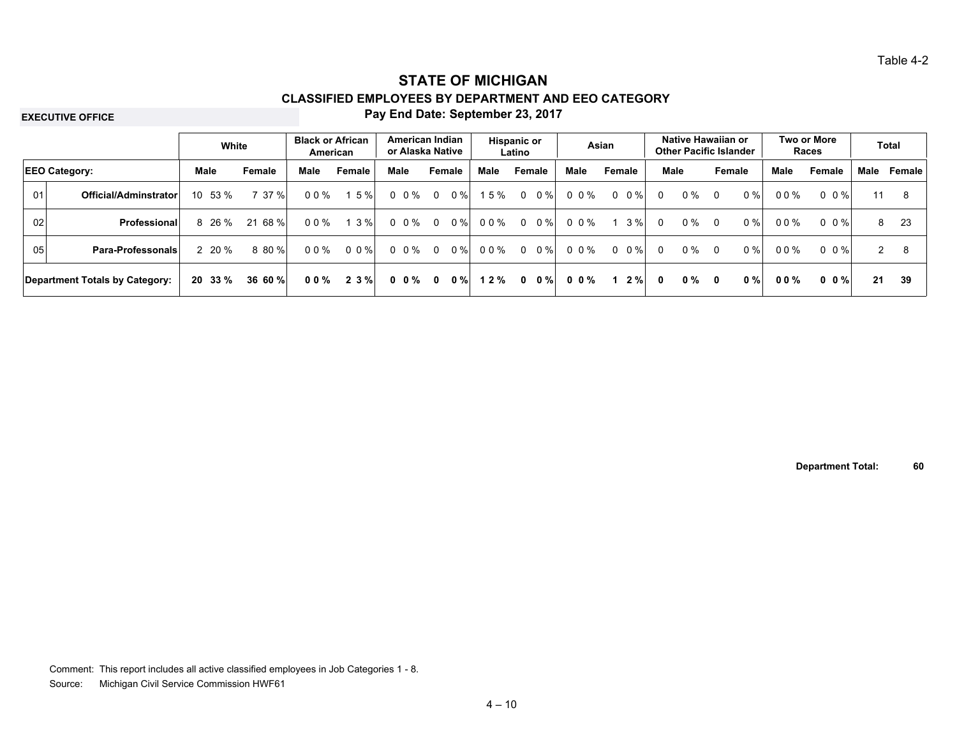#### **EXECUTIVE OFFICE**

#### **Pay End Date: September 23, 2017**

|                      |                                | White          |         | <b>Black or African</b><br>American |         | American Indian<br>or Alaska Native |                |        | Hispanic or | Latino      |        |       | Asian       |          | Native Hawaiian or<br><b>Other Pacific Islander</b> |                |        |        | <b>Two or More</b><br>Races |      | Total  |
|----------------------|--------------------------------|----------------|---------|-------------------------------------|---------|-------------------------------------|----------------|--------|-------------|-------------|--------|-------|-------------|----------|-----------------------------------------------------|----------------|--------|--------|-----------------------------|------|--------|
| <b>EEO Category:</b> |                                | Male           | Female  | Male                                | Female  | Male                                |                | Female | Male        |             | Female | Male  | Female      |          | Male                                                | Female         |        | Male   | Female                      | Male | Female |
| 01                   | Official/Adminstrator          | 10 53 %        | 7 37 %  | $00\%$                              | 5%      | 0 0 %                               | $\overline{0}$ | $0\%$  | 15%         | 0           | $0\%$  | 00%   | $0 \t 0 \%$ | $\Omega$ | $0\%$                                               | $\overline{0}$ | $0 \%$ | $00\%$ | 0 0 %                       | 11   | 8      |
| 02                   | <b>Professional</b>            | 8 26 %         | 21 68 % | 00%                                 | $3\%$   | $0 \t0\%$                           | $\overline{0}$ | $0\%$  | 00%         | $\mathbf 0$ | $0\%$  | 00%   | $3\%$       | $\Omega$ | $0\%$                                               | $\Omega$       | $0\%$  | 00%    | 0 0 %                       | 8    | 23     |
| 05                   | <b>Para-Professonals</b>       | $2\;\;20\;\%$  | 8 80 %  | 00%                                 | $0.0\%$ | 0 0 %                               | $\Omega$       | $0\%$  | 00%         | $\Omega$    | $0\%$  | 0 0 % | $0 \t 0 \%$ | $\Omega$ | $0\%$                                               | $\overline{0}$ | $0\%$  | $00\%$ | 0 0 %                       | 2    | 8      |
|                      | Department Totals by Category: | $20\;\;33\;\%$ | 36 60 % | 00%                                 | 2 3 %   | $0 \t 0 \t \%$                      | $\mathbf{0}$   | $0\%$  | 12%         | 0           | $0\%$  | 00%   | $2 \%$      | 0        | $0\%$                                               | 0              | $0\%$  | $00\%$ | $0 \t0\%$                   | 21   | 39     |

**Department Total: 60**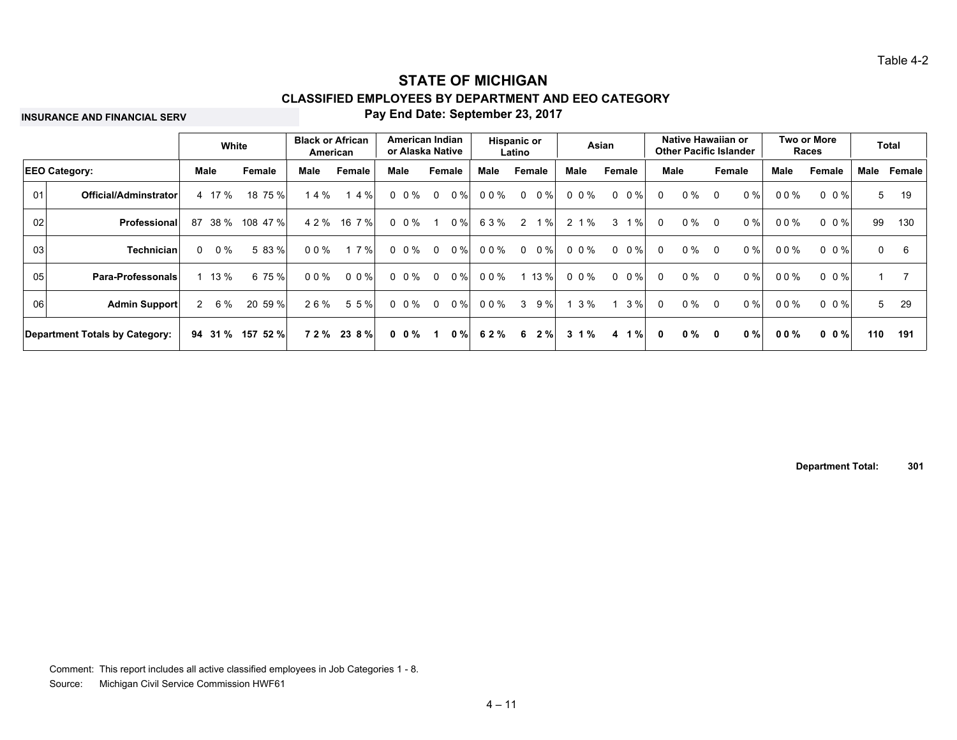**INSURANCE AND FINANCIAL SERV**

#### **Pay End Date: September 23, 2017**

|    |                                |    | White      |          | <b>Black or African</b> | American   |      | American Indian<br>or Alaska Native |                |             | <b>Hispanic or</b> | Latino       |        |          | Asian       |              | Native Hawaiian or<br><b>Other Pacific Islander</b> |                |        |        | Two or More<br>Races    |              | Total  |
|----|--------------------------------|----|------------|----------|-------------------------|------------|------|-------------------------------------|----------------|-------------|--------------------|--------------|--------|----------|-------------|--------------|-----------------------------------------------------|----------------|--------|--------|-------------------------|--------------|--------|
|    | <b>EEO Category:</b>           |    | Male       | Female   | Male                    | Female     | Male |                                     |                | Female      | Male               |              | Female | Male     | Female      |              | Male                                                |                | Female | Male   | Female                  | Male         | Female |
| 01 | Official/Adminstrator          |    | 4 17 %     | 18 75 %  | 14%                     | 1 4 %      |      | $0\ 0\%$                            | $\Omega$       | $0\%$       | 00%                | $\Omega$     | $0\%$  | 0 0 %    | $0 \t 0 \%$ | $\Omega$     | $0\%$                                               | $\overline{0}$ | 0%     | 00%    | $0 \t 0 \t \frac{9}{6}$ | 5            | 19     |
| 02 | Professional                   | 87 | 38 %       | 108 47 % | 4 2 %                   | 16 7 %     |      | $0 \t0\%$                           |                | $0\%$       | 63%                | 2            | $1\%$  | 2 1 %    | 1%<br>3     | $\Omega$     | $0\%$                                               | $\Omega$       | 0%     | $00\%$ | $0 \t 0 \t \frac{9}{6}$ | 99           | 130    |
| 03 | <b>Technician</b>              |    | $0 \t 0\%$ | 5 83 %   | 00%                     | 7%         |      | $0\ 0\%$                            | $\overline{0}$ | $0\%$       | 00%                | $\mathbf{0}$ | $0\%$  | 0 0 %    | $0 \t 0\%$  | $\Omega$     | $0\%$                                               | - 0            | 0%     | $00\%$ | $0 \t 0 \t \frac{9}{6}$ | $\mathbf{0}$ | 6      |
| 05 | <b>Para-Professonals</b>       |    | $1 \t13\%$ | 6 75 %   | 00%                     | $0 \t0 \%$ |      | $0 \t0\%$                           |                | $0 \t 0 \%$ | 00%                |              | 1 13 % | 0 0 %    | $0 \t 0 \%$ | $\Omega$     | $0\%$                                               | $\overline{0}$ | 0%     | $00\%$ | $0 \t 0 \t \frac{9}{6}$ | $\mathbf{1}$ |        |
| 06 | Admin Support                  |    | 2 6 %      | 20 59 %  | 26%                     | 5 5 %      |      | $0 \t0\%$                           | $\Omega$       | $0\%$       | 00%                | 3            | 9%     | 3%       | $3\%$       | $\Omega$     | $0\%$                                               | - 0            | $0\%$  | $00\%$ | $0 \t0\%$               | 5            | 29     |
|    | Department Totals by Category: |    | 94 31 %    | 157 52 % |                         | 72% 238%   |      | 0 0 %                               |                | $0\%$       | 62%                | 6            | 2%     | $3 \t1%$ | 4 1 %       | $\mathbf{0}$ | $0 \%$                                              | $\mathbf{0}$   | $0 \%$ | $00\%$ | $0 \t 0 \t \frac{9}{6}$ | 110          | 191    |

**Department Total: 301**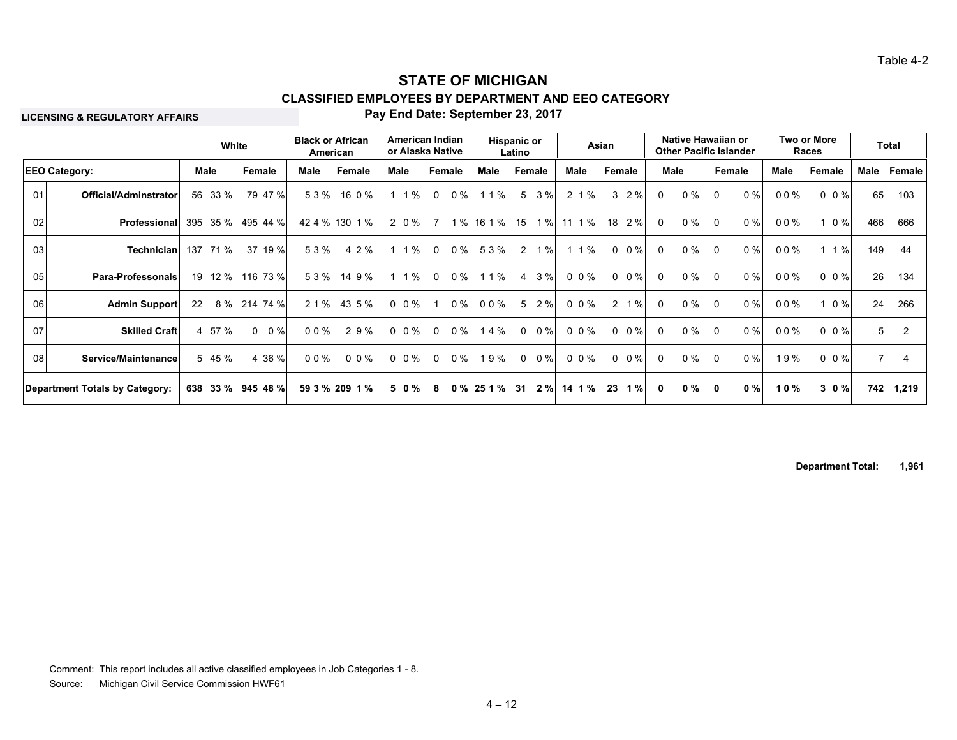**LICENSING & REGULATORY AFFAIRS**

#### **Pay End Date: September 23, 2017**

|                            |                                                               |            |                                             |                               |                                                              |                                                                                                                           |                        |                                                                                                    |       |                                                        |                                   |                     |                                                                                                              |        |                                                                                        |                                                                                                |                |       |                                                               |        |                                    | Total                                                                                                                                          |
|----------------------------|---------------------------------------------------------------|------------|---------------------------------------------|-------------------------------|--------------------------------------------------------------|---------------------------------------------------------------------------------------------------------------------------|------------------------|----------------------------------------------------------------------------------------------------|-------|--------------------------------------------------------|-----------------------------------|---------------------|--------------------------------------------------------------------------------------------------------------|--------|----------------------------------------------------------------------------------------|------------------------------------------------------------------------------------------------|----------------|-------|---------------------------------------------------------------|--------|------------------------------------|------------------------------------------------------------------------------------------------------------------------------------------------|
|                            |                                                               |            | Female                                      | Male                          | Female                                                       |                                                                                                                           |                        |                                                                                                    |       | Male                                                   |                                   |                     | Male                                                                                                         | Female |                                                                                        |                                                                                                |                |       | Male                                                          | Female | Male                               | Female                                                                                                                                         |
| Official/Adminstrator      |                                                               |            |                                             |                               | 16 0 %                                                       |                                                                                                                           |                        | $\mathbf 0$                                                                                        | 0%    | 1 1 %                                                  |                                   |                     |                                                                                                              |        | $\Omega$                                                                               | $0\%$                                                                                          | $\overline{0}$ | 0%    | 00%                                                           |        |                                    | 103                                                                                                                                            |
| <b>Professional</b>        | 395                                                           |            |                                             |                               |                                                              |                                                                                                                           |                        | $\overline{7}$                                                                                     |       |                                                        | 15                                | 1%                  |                                                                                                              | 18     | $\Omega$                                                                               | $0\%$                                                                                          | $\Omega$       | $0\%$ | 00%                                                           |        |                                    | 666                                                                                                                                            |
|                            | 137                                                           |            | 37 19 %                                     |                               | 4 2 %                                                        |                                                                                                                           |                        | $\mathbf 0$                                                                                        | 0%    | 53%                                                    |                                   | $1\%$               |                                                                                                              |        | $\Omega$                                                                               | $0\%$                                                                                          | $\Omega$       | 0%    | 00%                                                           |        |                                    | 44                                                                                                                                             |
| <b>Para-Professonals</b>   |                                                               |            |                                             |                               | 14 9 %                                                       |                                                                                                                           |                        | $\overline{0}$                                                                                     |       | 1 1 %                                                  |                                   | 3%                  |                                                                                                              |        | $\Omega$                                                                               | $0\%$                                                                                          | $\overline{0}$ | 0%    | 00%                                                           |        |                                    | 134                                                                                                                                            |
| <b>Admin Support</b>       | 22                                                            |            |                                             |                               |                                                              |                                                                                                                           |                        |                                                                                                    |       | 00%                                                    |                                   |                     |                                                                                                              |        | $\Omega$                                                                               | $0\%$                                                                                          | $\overline{0}$ | 0%    | 00%                                                           |        |                                    | 266                                                                                                                                            |
| <b>Skilled Craft</b>       |                                                               |            | $\Omega$<br>$0\%$                           |                               | 29%                                                          |                                                                                                                           |                        | $\Omega$                                                                                           | $0\%$ | 14%                                                    | $\Omega$                          | $0\%$               |                                                                                                              |        | $\Omega$                                                                               | $0\%$                                                                                          | $\overline{0}$ | $0\%$ | 00%                                                           |        |                                    |                                                                                                                                                |
| Service/Maintenance        |                                                               |            | 4 36 %                                      |                               |                                                              |                                                                                                                           |                        | $\mathbf{0}$                                                                                       |       |                                                        |                                   | $0\%$               |                                                                                                              |        | $\Omega$                                                                               | 0 %                                                                                            | $\overline{0}$ | 0%    | 19%                                                           |        |                                    | 4                                                                                                                                              |
|                            |                                                               |            |                                             |                               |                                                              |                                                                                                                           |                        | 8                                                                                                  |       |                                                        |                                   | 2%                  |                                                                                                              | 23     | $\mathbf{0}$                                                                           | $0\%$                                                                                          | 0              | 0%    | 10%                                                           |        |                                    | 1,219                                                                                                                                          |
| 02<br>03<br>05<br>06<br>08 | <b>EEO Category:</b><br><b>Department Totals by Category:</b> | Technician | Male<br>56 33 %<br>71 %<br>4 57 %<br>5 45 % | White<br>35 %<br>8 % 214 74 % | 79 47 %<br>495 44 %<br>19 12 % 116 73 %<br>638 33 % 945 48 % | <b>Black or African</b><br>American<br>53%<br>42 4 % 130 1 %<br>53%<br>53%<br>2 1 %<br>$00\%$<br>$00\%$<br>59 3 % 209 1 % | 43 5 %<br>$0 \ 0 \ \%$ | Male<br>$1 \t1\%$<br>2 0 %<br>$1 \t1\%$<br>$1 \t1\%$<br>$0 \t0\%$<br>$0 \t0\%$<br>$0 \t0\%$<br>50% |       | American Indian<br>or Alaska Native<br>Female<br>$0\%$ | 1%<br>$0\%$<br>$0\%$<br>19%<br>0% | 16 1 %<br>25 1 % 31 | <b>Hispanic or</b><br>Latino<br>Female<br>5 3 %<br>$\overline{2}$<br>$\overline{4}$<br>5 2 %<br>$\mathbf{0}$ |        | Asian<br>2 1 %<br>11 1 %<br>$1 \t1\%$<br>0 0 %<br>0 0 %<br>0 0 %<br>0 0 %<br>$14 \t1%$ | $3 \t2\%$<br>2%<br>$0 \t 0 \%$<br>$0 \t 0 \%$<br>$2 \t1%$<br>$0 \t 0 \%$<br>$0 \t0\%$<br>$1\%$ | Male           |       | Native Hawaiian or<br><b>Other Pacific Islander</b><br>Female |        | Two or More<br><b>Races</b><br>30% | 65<br>$0 \t0\%$<br>466<br>$0\%$<br>$1\%$<br>149<br>26<br>$0 \t 0 \%$<br>24<br>$1 \t0\%$<br>$0 \t 0 \%$<br>$5^{\circ}$<br>$0 \t0\%$<br>7<br>742 |

**Department Total: 1,961**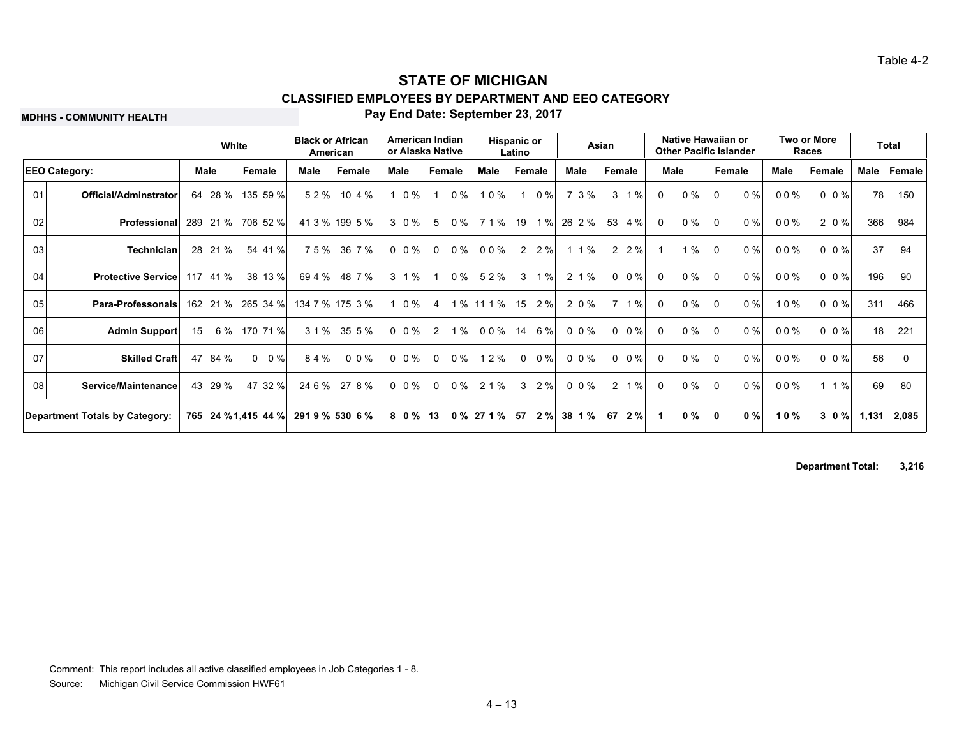**MDHHS - COMMUNITY HEALTH**

#### **Pay End Date: September 23, 2017**

|    |                                       |      | White    |                     | <b>Black or African</b><br>American |                 |      | American Indian<br>or Alaska Native |                |        | <b>Hispanic or</b> | Latino       |           |           | Asian       |              | Native Hawaiian or<br><b>Other Pacific Islander</b> |                |       |      | Two or More<br>Races |       | <b>Total</b> |
|----|---------------------------------------|------|----------|---------------------|-------------------------------------|-----------------|------|-------------------------------------|----------------|--------|--------------------|--------------|-----------|-----------|-------------|--------------|-----------------------------------------------------|----------------|-------|------|----------------------|-------|--------------|
|    | <b>EEO Category:</b>                  | Male |          | Female              | Male                                | Female          | Male |                                     | Female         |        | Male               |              | Female    | Male      | Female      | <b>Male</b>  |                                                     | Female         |       | Male | Female               | Male  | Female       |
| 01 | Official/Adminstrator                 | 64   | 28 %     | 135 59 %            | 52%                                 | 10 4 %          |      | $1 \t0\%$                           |                | $0\%$  | 10%                |              | 0%        | 73%       | 1%<br>3     | $\Omega$     | $0\%$                                               | $\Omega$       | $0\%$ | 00%  | $0 \t0\%$            | 78    | 150          |
| 02 | Professional                          |      | 289 21 % | 706 52 %            |                                     | 41 3 % 199 5 %  |      | 3 0 %                               | $5^{\circ}$    | $0\%$  | 71%                | 19           | 1%        | 26 2 %    | 53<br>4 %   | $\mathbf{0}$ | $0\%$                                               | $\Omega$       | 0%    | 00%  | 20%                  | 366   | 984          |
| 03 | <b>Technician</b>                     |      | 28 21 %  | 54 41 %             | 75%                                 | 36 7 %          |      | $0\ 0\%$                            | $\mathbf 0$    | 0%     | 00%                |              | $2 \t2\%$ | $11\%$    | $2 \t2\%$   |              | 1%                                                  | $\overline{0}$ | 0%    | 00%  | $0 \t0\%$            | 37    | 94           |
| 04 | <b>Protective Service</b>             |      | 117 41 % | 38 13 %             | 69 4 %                              | 48 7 %          |      | $3 \t1%$                            |                | $0\%$  | 52%                | 3            | 1%        | 2.1%      | $0 \t 0 \%$ | $\Omega$     | $0\%$                                               | $\Omega$       | 0%    | 00%  | $0 \t0\%$            | 196   | -90          |
| 05 | <b>Para-Professonals</b>              |      |          | 162 21 % 265 34 %   |                                     | 134 7 % 175 3 % |      | 1 0 %                               | $\overline{4}$ |        | 1 % 11 1 %         | 15           | 2%        | 2 0 %     | $7 \t1%$    | $\mathbf{0}$ | $0\%$                                               | $\Omega$       | 0%    | 10%  | $0 \t0\t%$           | 311   | 466          |
| 06 | <b>Admin Support</b>                  | 15   |          | 6 % 170 71 %        |                                     | 3 1 % 35 5 %    |      | $0 \t0\%$                           | 2              | 1%     | 00%                |              | 14 6 %    | $0 \t0\%$ | $0 \t 0 \%$ | $\Omega$     | $0\%$                                               | $\Omega$       | $0\%$ | 00%  | $0 \t0\%$            | 18    | 221          |
| 07 | <b>Skilled Craft</b>                  | 47   | 84 %     | $0 \t 0 \%$         | 84%                                 | 0 0 %           |      | $0 \t0\%$                           | $\mathbf 0$    | $0\%$  | 12%                | $\mathbf{0}$ | $0\%$     | 0.0%      | $0 \t 0 \%$ | $\mathbf{0}$ | $0\%$                                               | $\Omega$       | 0%    | 00%  | $0 \t0\frac{9}{6}$   | 56    | - 0          |
| 08 | Service/Maintenance                   |      | 43 29 %  | 47 32 %             | 24 6 %                              | 27 8 %          |      | $0 \t0\frac{9}{6}$                  | $\mathbf 0$    | 0%     | 2 1 %              | 3            | 2%        | $0 \t0\%$ | $2 \t1%$    | $\Omega$     | $0\%$                                               | $\Omega$       | 0%    | 00%  | $1 \t1\%$            | 69    | 80           |
|    | <b>Department Totals by Category:</b> |      |          | 765 24 % 1,415 44 % |                                     | 291 9 % 530 6 % |      | 8 0 % 13                            |                | $0 \%$ | 27 1 %             | -57          | 2%        | 38 1 %    | 2%<br>67    |              | 0 %                                                 | 0              | 0%    | 10%  | $3 \t0 \%$           | 1,131 | 2,085        |

**Department Total: 3,216**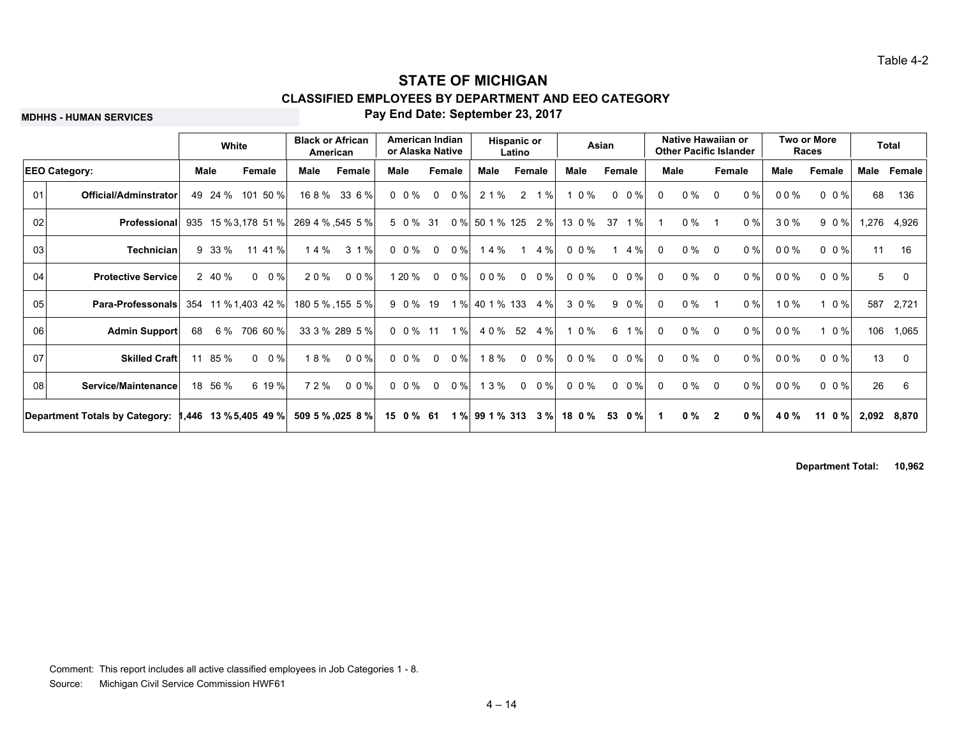**MDHHS - HUMAN SERVICES**

#### **Pay End Date: September 23, 2017**

|    |                                |    | White       |                         | <b>Black or African</b><br>American |                  |           | American Indian<br>or Alaska Native |        |                    | <b>Hispanic or</b><br>Latino |              |        | Asian               |          | Native Hawaiian or<br><b>Other Pacific Islander</b> |                         |       |      | Two or More<br>Races    |       | <b>Total</b> |
|----|--------------------------------|----|-------------|-------------------------|-------------------------------------|------------------|-----------|-------------------------------------|--------|--------------------|------------------------------|--------------|--------|---------------------|----------|-----------------------------------------------------|-------------------------|-------|------|-------------------------|-------|--------------|
|    | <b>EEO Category:</b>           |    | <b>Male</b> | Female                  | Male                                | Female           | Male      |                                     | Female | Male               |                              | Female       | Male   | Female              | Male     |                                                     | Female                  |       | Male | Female                  | Male  | Female       |
| 01 | Official/Adminstrator          | 49 | 24 %        | 101 50 %                |                                     | 168% 336%        | $0 \t0\%$ | $\mathbf 0$                         | 0%     | 2 1 %              |                              | $2 \t1%$     | 1 0 %  | $0 \t 0\%$          | $\Omega$ | $0\%$                                               | $\Omega$                | 0%    | 00%  | $0 \t0 \%$              | 68    | 136          |
| 02 | Professional                   |    |             | 935 15 % 3,178 51 %     |                                     | 269 4 % .545 5 % |           | 5 0 % 31                            |        | 0 % 50 1 % 125     |                              | 2%           | 13 0 % | 1%<br>-37           |          | $0\%$                                               |                         | $0\%$ | 30%  | 90%                     | 1,276 | 4,926        |
| 03 | <b>Technician</b>              |    | 9 33 %      | 11 41 %                 | 14%                                 | 3 1 %            | $0 \t0\%$ | $\overline{0}$                      | $0\%$  | 14%                | -1                           | 4 %          | 0 0 %  | 4 %<br>$\mathbf{1}$ | $\Omega$ | $0\%$                                               | $\Omega$                | 0%    | 00%  | $0 \t 0 \t \frac{9}{6}$ | 11    | - 16         |
| 04 | <b>Protective Service</b>      |    | 2 40 %      | $0 \t 0 \%$             | 20%                                 | $0 \t0\%$        | 1 20 %    | $\mathbf 0$                         | $0\%$  | 00%                |                              | $0 \t 0 \%$  | 0 0 %  | $0 \t 0 \%$         | $\Omega$ | $0\%$                                               | $\Omega$                | $0\%$ | 00%  | $0 \t0\%$               | 5     | 0            |
| 05 | <b>Para-Professonals</b>       |    |             | 354 11 % 1,403 42 %     |                                     | 180 5 % 155 5 %  |           | 9 0 % 19                            |        | 1 % 40 1 % 133 4 % |                              |              | 3 0 %  | 9 0 %               | $\Omega$ | $0\%$                                               |                         | 0%    | 10%  | 1 0 %                   | 587   | 2,721        |
| 06 | <b>Admin Support</b>           | 68 |             | 6 % 706 60 %            |                                     | 33 3 % 289 5 %   |           | $0\,0\%$ 11                         | 1%     | 4 0 % 52 4 %       |                              |              | 1 0 %  | 1%<br>6             | $\Omega$ | $0\%$                                               | $\Omega$                | 0%    | 00%  | 1 0 %                   |       | 106 1,065    |
| 07 | <b>Skilled Craft</b>           | 11 | 85 %        | $0 \t 0 \%$             | 18%                                 | $0 \t0\%$        | $0 \t0\%$ | $\mathbf 0$                         | $0\%$  | 18%                | $\mathbf{0}$                 | $0\%$        | 0 0 %  | $0 \t 0 \%$         | $\Omega$ | $0\%$                                               | $\Omega$                | $0\%$ | 00%  | $0 \t 0 \%$             | 13    | $\Omega$     |
| 08 | Service/Maintenance            |    | 18 56 %     | 6 19 %                  | 72%                                 | $0 \t0\%$        | $0\ 0\%$  | $\mathbf 0$                         | $0\%$  | 13%                |                              | $0\quad 0\%$ | 0 0 %  | $0 \t 0 \%$         | $\Omega$ | $0\%$                                               | $\Omega$                | $0\%$ | 00%  | $0 \t0\%$               | 26    | 6            |
|    | Department Totals by Category: |    |             | $1,446$ 13 % 5,405 49 % |                                     | 509 5 % ,025 8 % | 15 0 % 61 |                                     |        | 1 % 99 1 % 313     |                              | 3%           | 18 0 % | 53<br>0%            |          | $0 \%$                                              | $\overline{\mathbf{2}}$ | 0%    | 40%  | 11 0 %                  | 2,092 | 8,870        |

**Department Total: 10,962**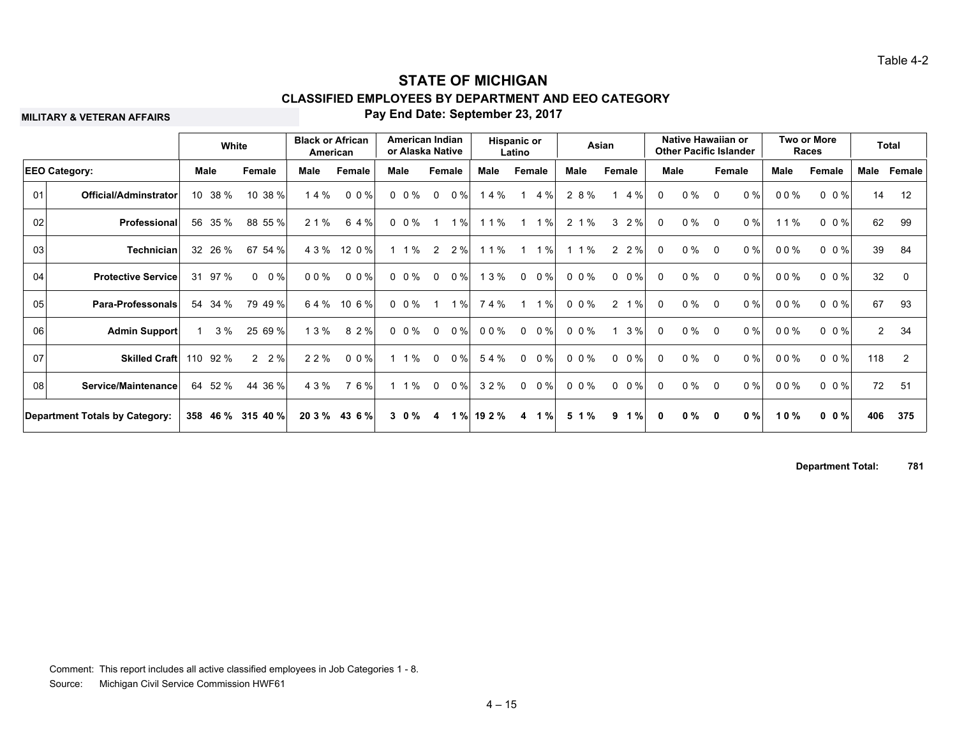**MILITARY & VETERAN AFFAIRS**

#### **Pay End Date: September 23, 2017**

|    |                                       |    | White    |                       | American | <b>Black or African</b> | American Indian<br>or Alaska Native |                |        |        | Hispanic or<br>Latino |              |           | Asian              |              | Native Hawaiian or<br><b>Other Pacific Islander</b> |             |        |      | Two or More<br>Races |                | <b>Total</b>   |
|----|---------------------------------------|----|----------|-----------------------|----------|-------------------------|-------------------------------------|----------------|--------|--------|-----------------------|--------------|-----------|--------------------|--------------|-----------------------------------------------------|-------------|--------|------|----------------------|----------------|----------------|
|    | <b>EEO Category:</b>                  |    | Male     | Female                | Male     | Female                  | Male                                |                | Female | Male   |                       | Female       | Male      | Female             |              | <b>Male</b>                                         |             | Female | Male | Female               | Male           | Female         |
| 01 | <b>Official/Adminstrator</b>          |    | 10 38 %  | 10 38 %               | 14%      | $0 \t0\%$               | $0 \t0\%$                           | $\mathbf{0}$   | $0\%$  | 14%    | $\mathbf 1$           | 4 %          | 2 8 %     | 4 %<br>$\mathbf 1$ | 0            | $0\%$                                               | $\mathbf 0$ | 0%     | 00%  | $0 \t 0 \%$          | 14             | 12             |
| 02 | Professional                          |    | 56 35 %  | 88 55 %               | 2 1 %    | 6 4 %                   | $0 \t0\%$                           |                | 1%     | 11%    |                       | $1\%$        | 2 1 %     | 3<br>2%            | $\mathbf{0}$ | 0 %                                                 | $\Omega$    | $0\%$  | 11%  | $0 \t0\frac{9}{6}$   | 62             | 99             |
| 03 | <b>Technician</b>                     |    | 32 26 %  | 54 %<br>67            |          | 4 3 % 12 0 %            | $1 \t1\%$                           | $\overline{2}$ | 2%     | 11%    | -1                    | 1%           | 1%        | 2 2 %              | 0            | $0\%$                                               | $\Omega$    | 0%     | 00%  | $0 \t0\%$            | 39             | 84             |
| 04 | <b>Protective Service</b>             | 31 | 97 %     | $0\%$<br>$\mathbf{0}$ | 00%      | $0 \t0\%$               | $0 \t0\%$                           | $\overline{0}$ | 0%     | 13%    |                       | $0 \t 0 \%$  | 0 0 %     | $0 \t 0 \%$        | $\mathbf{0}$ | $0\%$                                               | $\Omega$    | 0%     | 00%  | $0 \t0\%$            | 32             | $\mathbf 0$    |
| 05 | <b>Para-Professonals</b>              | 54 | 34 %     | 79 49 %               | 64%      | $106\%$                 | $0 \t0\%$                           | -1             | 1%     | 74%    | $\mathbf 1$           | 1%           | $0 \t0\%$ | 2<br>1%            | $\mathbf{0}$ | $0\%$                                               | $\Omega$    | $0\%$  | 00%  | $0 \t0\%$            | 67             | 93             |
| 06 | Admin Support                         |    | 3%       | 25 69 %               | 13%      | 8 2 %                   | $0 \t0\%$                           | $\mathbf 0$    | $0\%$  | 00%    |                       | $0\quad 0\%$ | $0 \t0\%$ | 3%<br>$\mathbf 1$  | 0            | $0\%$                                               | $\mathbf 0$ | 0%     | 00%  | $0 \t0\%$            | $\overline{2}$ | 34             |
| 07 | <b>Skilled Craft</b>                  |    | 110 92 % | $2 \t2\%$             | 2 2 %    | $0 \t0\frac{9}{6}$      | $1 \t1\%$                           | $\mathbf{0}$   | $0\%$  | 54%    | $\Omega$              | $0\%$        | 0 0 %     | $0 \t 0 \%$        | $\Omega$     | $0\%$                                               | $\Omega$    | $0\%$  | 00%  | $0 \t0\%$            | 118            | $\overline{2}$ |
| 08 | Service/Maintenance                   |    | 64 52 %  | 44 36 %               | 4 3 %    | 76%                     | $1 \t1\%$                           | $\mathbf 0$    | $0\%$  | 3 2 %  | $\Omega$              | $0\%$        | $0\,0\%$  | $0 \t 0 \%$        | $\Omega$     | $0\%$                                               | $\Omega$    | $0\%$  | 00%  | $0 \t0\%$            | 72             | 51             |
|    | <b>Department Totals by Category:</b> |    | 358 46 % | 315 40 %              | 20 3 %   | 43 6 %                  | $3 \t0\%$                           | 4              | 1%     | 19 2 % | 4                     | 1%           | 5 1 %     | 1%<br>9            | $\mathbf{0}$ | $0\%$                                               | $\mathbf 0$ | 0%     | 10%  | $0 \t 0 \t \%$       | 406            | 375            |

**Department Total: 781**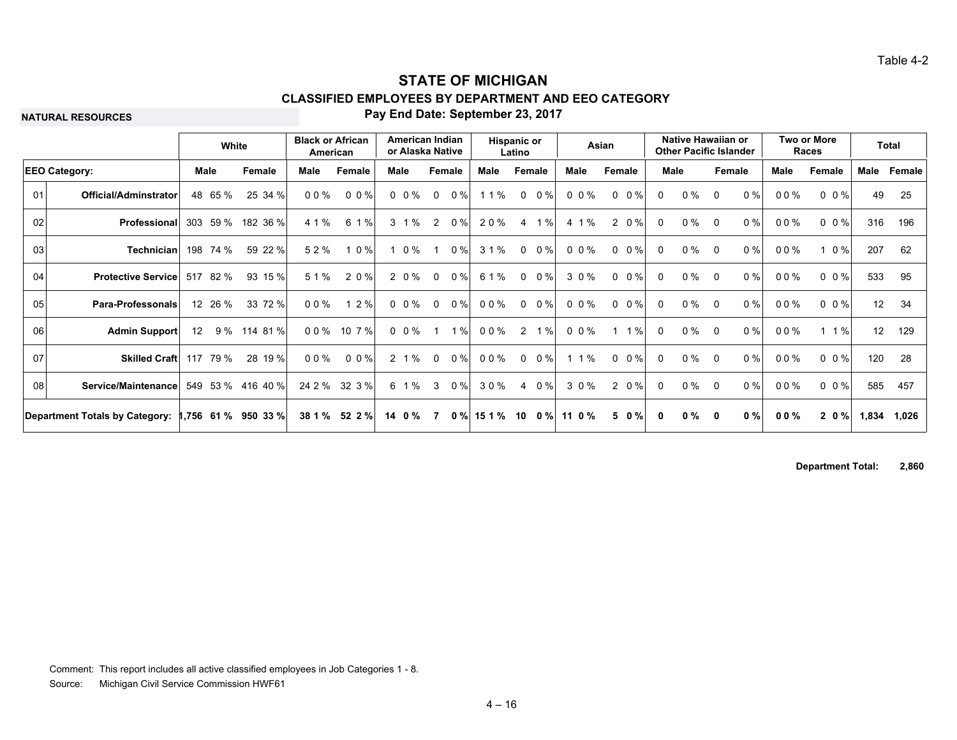**NATURAL RESOURCES**

#### **Pay End Date: September 23, 2017**

|    |                                       |      | White    |                       | <b>Black or African</b><br>American |               | American Indian<br>or Alaska Native |                |        | Hispanic or | Latino       |       |          | Asian                   |              | Native Hawaiian or<br><b>Other Pacific Islander</b> |          |        |        | Two or More<br>Races    |                 | <b>Total</b> |
|----|---------------------------------------|------|----------|-----------------------|-------------------------------------|---------------|-------------------------------------|----------------|--------|-------------|--------------|-------|----------|-------------------------|--------------|-----------------------------------------------------|----------|--------|--------|-------------------------|-----------------|--------------|
|    | <b>EEO Category:</b>                  | Male |          | Female                | Male                                | Female        | Male                                |                | Female | Male        | Female       |       | Male     | Female                  |              | Male                                                |          | Female | Male   | Female                  | Male            | Female       |
| 01 | Official/Adminstrator                 |      | 48 65 %  | 25 34 %               | $00\%$                              | $0.0\%$       | $0 \t0\%$                           | $\mathbf{0}$   | 0%     | 11%         | $\mathbf{0}$ | $0\%$ | 0 0 %    | $0 \t 0 \%$             | $\Omega$     | $0\%$                                               | $\Omega$ | 0%     | $00\%$ | $0 \t 0 \t \frac{9}{6}$ | 49              | 25           |
| 02 | Professional                          | 303  | 59 %     | 182 36 %              | 4 1 %                               | 6 1 %         | 3 1 %                               | 2              | $0\%$  | 20%         | 4            | 1%    | 4 1 %    | $0\%$<br>$\overline{2}$ | 0            | $0\%$                                               | $\Omega$ | $0\%$  | 00%    | $0 \t0\t%$              | 316             | 196          |
| 03 | Technician                            |      | 198 74 % | 59 22 %               | 52%                                 | 1 0 %         | $1 \t0\%$                           |                | 0%     | 31%         | $\mathbf{0}$ | $0\%$ | 0 0 %    | $0 \t 0 \%$             | $\Omega$     | 0 %                                                 | $\Omega$ | $0\%$  | 00%    | $1 \t0\%$               | 207             | 62           |
| 04 | <b>Protective Service</b>             |      | 517 82 % | 93 15 %               | 5 1 %                               | 2 0 %         | 2 0 %                               | $\Omega$       | $0\%$  | 6 1 %       | $\Omega$     | $0\%$ | 3 0 %    | $0 \t 0 \t \frac{9}{6}$ | $\Omega$     | $0\%$                                               | $\Omega$ | $0\%$  | 00%    | $0 \t0\frac{9}{6}$      | 533             | 95           |
| 05 | Para-Professonals                     |      | 12 26 %  | 33 72 %               | $00\%$                              | 12%           | $0 \t0\%$                           | $\mathbf{0}$   | 0%     | 00%         | $\mathbf{0}$ | 0 %   | 0 0 %    | $0 \t 0 \%$             | $\mathbf{0}$ | $0\%$                                               | $\Omega$ | $0\%$  | 00%    | $0 \t0\frac{9}{6}$      | 12 <sup>2</sup> | 34           |
| 06 | <b>Admin Support</b>                  | 12   |          | 9 % 114 81 %          | 00%                                 | 10 7 %        | $0\ 0\%$                            | $\overline{1}$ | 1%     | 00%         |              | 2 1 % | $0\,0\%$ | $1 \t1%$                | $\Omega$     | $0\%$                                               | $\Omega$ | 0%     | 00%    | $1 \t1%$                | 12              | 129          |
| 07 | Skilled Craft 117                     |      | 79 %     | 28 19 %               | 0 0 %                               | 0 0 %         | $2 \t1%$                            | $\mathbf 0$    | $0\%$  | 00%         | $\mathbf{0}$ | $0\%$ | 1%       | $0 \t 0\%$              | $\Omega$     | 0 %                                                 | $\Omega$ | 0%     | 00%    | $0 \t0\%$               | 120             | -28          |
| 08 | Service/Maintenance                   |      |          | 549 53 % 416 40 %     |                                     | 24 2 % 32 3 % | 6 1 %                               | $\mathbf{3}$   | 0%     | 30%         |              | 4 0 % | 3 0 %    | 2 0 %                   | $\mathbf{0}$ | $0\%$                                               | $\Omega$ | $0\%$  | 00%    | $0 \t0\%$               | 585             | 457          |
|    | <b>Department Totals by Category:</b> |      |          | $1,756$ 61 % 950 33 % | 38 1 %                              | 52 2 %        | 14 0 %                              |                | $0 \%$ | 15 1 %      | 10           | $0\%$ | 11 0 $%$ | 50%                     | $\mathbf{0}$ | $0 \%$                                              | 0        | $0\%$  | $00\%$ | 20%                     | 1,834           | 1,026        |

**Department Total: 2,860**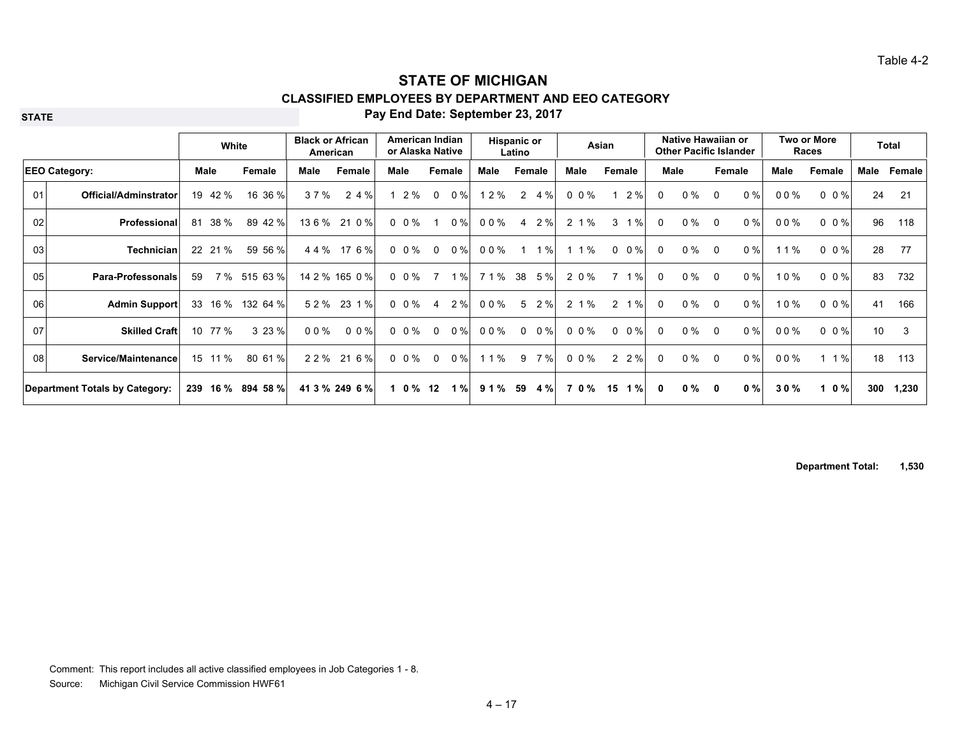**STATE**

### **Pay End Date: September 23, 2017**

|    |                                |                 | White   |                   | <b>Black or African</b> | American       |      | American Indian<br>or Alaska Native |                |       |       | <b>Hispanic or</b><br>Latino |        |                      | Asian                 |              | Native Hawaiian or<br><b>Other Pacific Islander</b> |              |       |      | Two or More<br>Races |      | <b>Total</b> |
|----|--------------------------------|-----------------|---------|-------------------|-------------------------|----------------|------|-------------------------------------|----------------|-------|-------|------------------------------|--------|----------------------|-----------------------|--------------|-----------------------------------------------------|--------------|-------|------|----------------------|------|--------------|
|    | <b>EEO Category:</b>           |                 | Male    | Female            | Male                    | Female         | Male |                                     | Female         |       | Male  |                              | Female | Male                 | Female                |              | <b>Male</b>                                         | Female       |       | Male | Female               | Male | Female       |
| 01 | Official/Adminstrator          |                 | 19 42 % | 16 36 %           | 37%                     | 2 4 %          |      | 2 %                                 | $\mathbf 0$    | 0%    | 1 2 % | $\mathbf{2}$                 | 4 %    | $0\,0\%$             | 2%                    | $\Omega$     | $0\%$                                               | $\Omega$     | $0\%$ | 00%  | $0 \t0\%$            | 24   | 21           |
| 02 | Professional                   | 81              | 38 %    | 89 42 %           | 136%                    | 21 0 %         |      | $0\;\;0\;\%$                        | $\mathbf{1}$   | 0%    | 00%   | 4                            | 2%     | 2 1 %                | %<br>3                | $\Omega$     | $0\%$                                               | $\Omega$     | $0\%$ | 00%  | $0 \t0\%$            | 96   | 118          |
| 03 | <b>Technician</b>              |                 | 22 21 % | 59 56 %           | 44%                     | 17 6 %         |      | $0\ 0\%$                            | $\mathbf{0}$   | $0\%$ | 00%   |                              | 1%     | $1\%$<br>$\mathbf 1$ | $0\%$<br>$\mathbf{0}$ | $\Omega$     | $0\%$                                               | $\Omega$     | $0\%$ | 1%   | $0 \t0\%$            | 28   | 77           |
| 05 | <b>Para-Professonals</b>       | 59              |         | 7 % 515 63 %      |                         | 14 2 % 165 0 % |      | $0 \t0\%$                           | $\overline{7}$ | 1%    | 71%   |                              | 38 5 % | 2 0 %                | 1%<br>7               | $\Omega$     | $0\%$                                               | $\Omega$     | $0\%$ | 10%  | $0 \t0\%$            | 83   | 732          |
| 06 | <b>Admin Support</b>           |                 | 33 16 % | 132 64 %          | 52%                     | 23 1 %         |      | 0 0 %                               | 4              | 2%    | 00%   | 5                            | 2%     | 2 1 %                | $\overline{2}$<br>1%  | $\Omega$     | $0\%$                                               | $\Omega$     | 0%    | 10%  | $0 \t0\%$            | 41   | 166          |
| 07 | <b>Skilled Craft</b>           | 10 <sup>°</sup> | 77 %    | 3 23 %            | 0 0 %                   | $0 \t0\%$      |      | $0\ 0\%$                            | $\mathbf 0$    | $0\%$ | 00%   | $\mathbf{0}$                 | $0\%$  | $0 \t0\%$            | $0 \t 0\%$            | 0            | $0\%$                                               | $\Omega$     | $0\%$ | 00%  | $0 \t0\%$            | 10   | 3            |
|    | 08<br>Service/Maintenance      |                 | 15 11 % | 80 61 %           | 22%                     | 21 6 %         |      | $0\;\;0\;\%$                        | $\mathbf 0$    | $0\%$ | 11%   | 9                            | 7%     | 0 0 %                | $2 \t2\%$             | $\Omega$     | $0\%$                                               | $\Omega$     | 0%    | 00%  | $1 \t1%$             | 18   | 113          |
|    | Department Totals by Category: |                 |         | 239 16 % 894 58 % |                         | 41 3 % 249 6 % |      | $10\%$ 12                           |                | 1%    | 91%   | 59                           | 4 %    | 70%                  | 1%<br>15              | $\mathbf{0}$ | $0\%$                                               | $\mathbf{0}$ | 0%    | 30%  | 10%                  | 300  | 1,230        |

**Department Total: 1,530**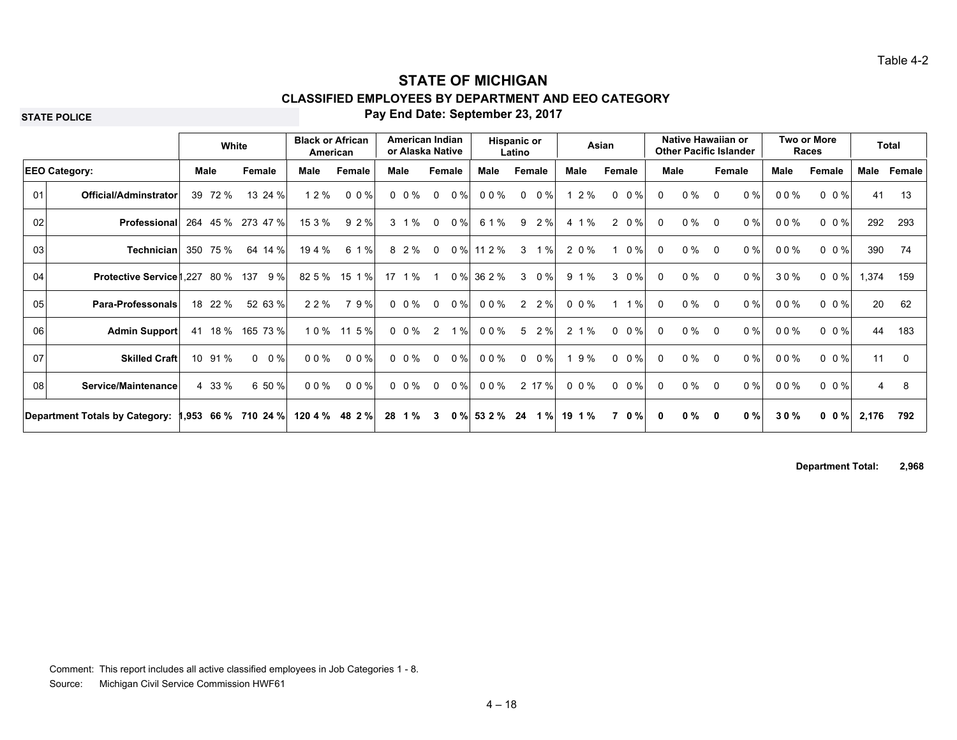**STATE POLICE**

### **Pay End Date: September 23, 2017**

|    |                                       |     | White      |                   | <b>Black or African</b><br>American |                    | American Indian<br>or Alaska Native |              |        |        | <b>Hispanic or</b><br>Latino |           |            | Asian                 |              | Native Hawaiian or<br><b>Other Pacific Islander</b> |              |       |        | Two or More<br>Races |       | Total  |
|----|---------------------------------------|-----|------------|-------------------|-------------------------------------|--------------------|-------------------------------------|--------------|--------|--------|------------------------------|-----------|------------|-----------------------|--------------|-----------------------------------------------------|--------------|-------|--------|----------------------|-------|--------|
|    | <b>EEO Category:</b>                  |     | Male       | Female            | Male                                | Female             | Male                                | Female       |        | Male   |                              | Female    | Male       | Female                |              | Male                                                | Female       |       | Male   | Female               | Male  | Female |
| 01 | Official/Adminstrator                 | 39  | 72 %       | 13 24 %           | 1 2 %                               | 0.0%               | $0 \t0\%$                           | $\mathbf 0$  | 0%     | 00%    | $\mathbf{0}$                 | 0%        | 12%        | $0 \t 0 \%$           | $\Omega$     | $0\%$                                               | $\Omega$     | 0%    | 00%    | $0 \t0\%$            | 41    | 13     |
| 02 | <b>Professional</b>                   | 264 | 45 %       | 273 47 %          | 15 3 %                              | 9 2 %              | 3 1 %                               | $\mathbf{0}$ | 0%     | 6 1 %  | 9                            | 2%        | 4 1 %      | $\mathbf{2}$<br>$0\%$ | 0            | $0\%$                                               | $\Omega$     | 0%    | $00\%$ | $0 \t0\%$            | 292   | 293    |
| 03 | Technician                            |     | 350 75 %   | 64 14 %           | 19 4 %                              | 6 1 %              | 8 2 %                               | $\mathbf 0$  | $0\%$  | 11 2 % | 3                            | 1%        | 2 0 %      | $0\%$<br>$\mathbf 1$  | $\mathbf 0$  | $0\%$                                               | $\Omega$     | 0%    | 00%    | $0 \t0\%$            | 390   | 74     |
| 04 | <b>Protective Service 1,227 80 %</b>  |     |            | 137<br>9%         | 82 5 %                              | 15 1 %             | 17 1 %                              | -1           | 0%     | 36 2 % | 3                            | $0\%$     | 9 1 %      | $3 \t0\%$             | $\Omega$     | $0\%$                                               | $\Omega$     | $0\%$ | 30%    | $0 \t0\%$            | 1,374 | 159    |
| 05 | <b>Para-Professonals</b>              |     | 18 22 %    | 52 63 %           | 2 2 %                               | 79%                | $0 \t0\%$                           | $\mathbf{0}$ | $0\%$  | 00%    |                              | $2 \t2\%$ | $0 \t0\%$  | 1%<br>$\mathbf 1$     | $\Omega$     | $0\%$                                               | $\Omega$     | $0\%$ | 00%    | $0 \t0\%$            | 20    | 62     |
| 06 | Admin Support                         |     | 41 18 %    | 165 73 %          |                                     | 10% 115%           | $0 \t0\%$                           | 2            | 1%     | 00%    | 5                            | 2%        | 2 1 %      | $0 \t 0 \%$           | $\Omega$     | $0\%$                                               | $\Omega$     | 0%    | 00%    | $0 \t0\frac{9}{6}$   | 44    | 183    |
| 07 | <b>Skilled Craft</b>                  |     | 10 91 %    | $0\%$<br>$\Omega$ | $00\%$                              | 0.0%               | $0\;\;0\;\%$                        | $\mathbf 0$  | $0\%$  | 00%    | 0                            | $0\%$     | 1 9 %      | $0 \t 0 \%$           | 0            | $0\%$                                               | $\Omega$     | $0\%$ | $00\%$ | $0 \t0\%$            | 11    | 0      |
|    | 08<br>Service/Maintenance             |     | 4 33 %     | 6 50 %            | 00%                                 | $0 \t0\frac{9}{6}$ | $0\;\;0\;\%$                        | $\mathbf 0$  | $0\%$  | 00%    |                              | 2 17 %    | $0 \t0\%$  | $0 \t 0 \%$           | $\mathbf 0$  | $0\%$                                               | $\Omega$     | 0%    | 00%    | $0 \t0\%$            | 4     | 8      |
|    | <b>Department Totals by Category:</b> |     | 1,953 66 % | 710 24 %          | 120 4 %                             | 48 2 %             | 28 1 %                              | 3            | $0 \%$ | 53 2 % | 24                           | 1%        | $19 \t1\%$ | $0\%$<br>7            | $\mathbf{0}$ | $0\%$                                               | $\mathbf{0}$ | $0\%$ | 30%    | $0 \t0\%$            | 2,176 | 792    |

**Department Total: 2,968**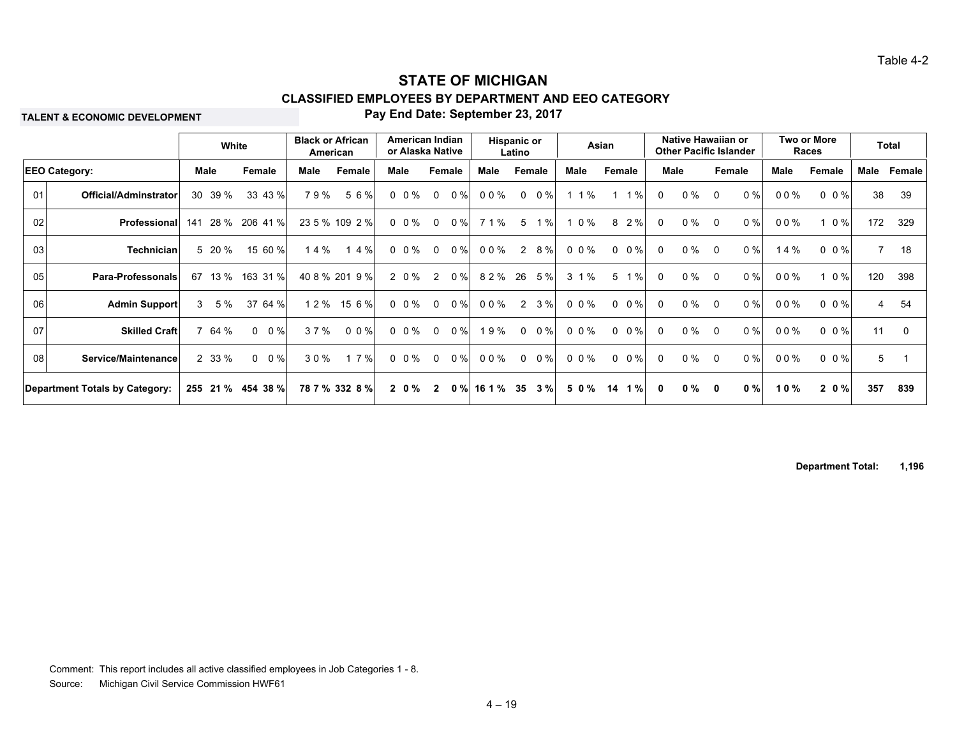**TALENT & ECONOMIC DEVELOPMENT**

#### **Pay End Date: September 23, 2017**

|    |                                       |            | White             |      | <b>Black or African</b><br>American |           | American Indian<br>or Alaska Native |        | Hispanic or<br>Latino |       | Asian                 |                       | Native Hawaiian or<br><b>Other Pacific Islander</b> |              | Two or More<br>Races |                | <b>Total</b> |
|----|---------------------------------------|------------|-------------------|------|-------------------------------------|-----------|-------------------------------------|--------|-----------------------|-------|-----------------------|-----------------------|-----------------------------------------------------|--------------|----------------------|----------------|--------------|
|    | <b>EEO Category:</b>                  | Male       | Female            | Male | Female                              | Male      | Female                              | Male   | Female                | Male  | Female                | <b>Male</b>           | Female                                              | <b>Male</b>  | Female               | Male           | Female       |
| 01 | Official/Adminstrator                 | 30 39 %    | 33 43 %           | 79%  | 56%                                 | $0 \t0\%$ | $0\%$<br>$\mathbf 0$                | 00%    | $0\%$<br>$\mathbf 0$  | 1 1 % | $1 \t1\%$             | $0\%$<br>$\Omega$     | $\Omega$                                            | $0\%$<br>00% | $0 \t0\%$            | 38             | 39           |
| 02 | Professional                          | 141        | 28 %<br>206 41 %  |      | 23 5 % 109 2 %                      | $0 \t0\%$ | $0\%$<br>$\mathbf 0$                | 71%    | $\%$<br>$5^{\circ}$   | 1 0 % | 8<br>2%               | $0\%$<br>$\Omega$     | $\Omega$                                            | $0\%$<br>00% | $0\%$                | 172            | 329          |
| 03 | <b>Technician</b>                     | 5 20 %     | 15 60 %           | 14%  | 14%                                 | $0 \t0\%$ | $0\%$<br>$\mathbf 0$                | 00%    | 8 %<br>$\overline{2}$ | 0 0 % | $0 \t 0 \%$           | $0\%$<br>$\Omega$     | $\Omega$                                            | 0%           | 14 %<br>$0 \t0\%$    | $\overline{7}$ | 18           |
| 05 | Para-Professonals                     | 13 %<br>67 | 163 31 %          |      | 40 8 % 201 9 %                      | 2 0 %     | 0%<br>$\overline{2}$                | 82%    | 26 5%                 | 3 1 % | $5^{\circ}$<br>$1 \%$ | $\Omega$              | $0\%$<br>$\overline{0}$                             | 0%<br>00%    | $1 \t0\%$            | 120            | 398          |
| 06 | <b>Admin Support</b>                  | $3 \t5\%$  | 37 64 %           | 12%  | 15 6 %                              | $0 \t0\%$ | $\mathbf{0}$<br>$0\%$               | 00%    | 3%<br>2               | 0 0 % | $0 \t0\%$             | 0 %<br>$\Omega$       | $\overline{0}$                                      | $0\%$<br>00% | $0 \t0\%$            | 4              | 54           |
| 07 | <b>Skilled Craft</b>                  | 64 %       | $0 \t 0\%$        | 37%  | $0 \t0\%$                           | $0 \t0\%$ | $0\%$<br>$\Omega$                   | 9%     | $0\%$<br>$\Omega$     | 0.0%  | $0 \t 0 \%$           | $0\%$<br>$\Omega$     | $\overline{0}$                                      | $0\%$<br>00% | $0 \t0\frac{9}{6}$   | 11             | $\Omega$     |
| 08 | Service/Maintenance                   | 2 33 %     | $0 \t 0 \%$       | 30%  | 17%                                 | $0 \t0\%$ | $0\%$<br>$\mathbf 0$                | 00%    | 0%<br>$\Omega$        | 0 0 % | $0 \t 0 \%$           | $0\%$<br>$\Omega$     | $\overline{0}$                                      | 0%<br>00%    | $0 \t0\%$            | 5              |              |
|    | <b>Department Totals by Category:</b> |            | 255 21 % 454 38 % |      | 78 7 % 332 8 %                      | $2\,0\%$  | $0 \%$<br>$\overline{2}$            | 16 1 % | 35<br>3%              | 50%   | $1\%$<br>14           | $0\%$<br>$\mathbf{0}$ | 0                                                   | 0%<br>10%    | 20%                  | 357            | 839          |

**Department Total: 1,196**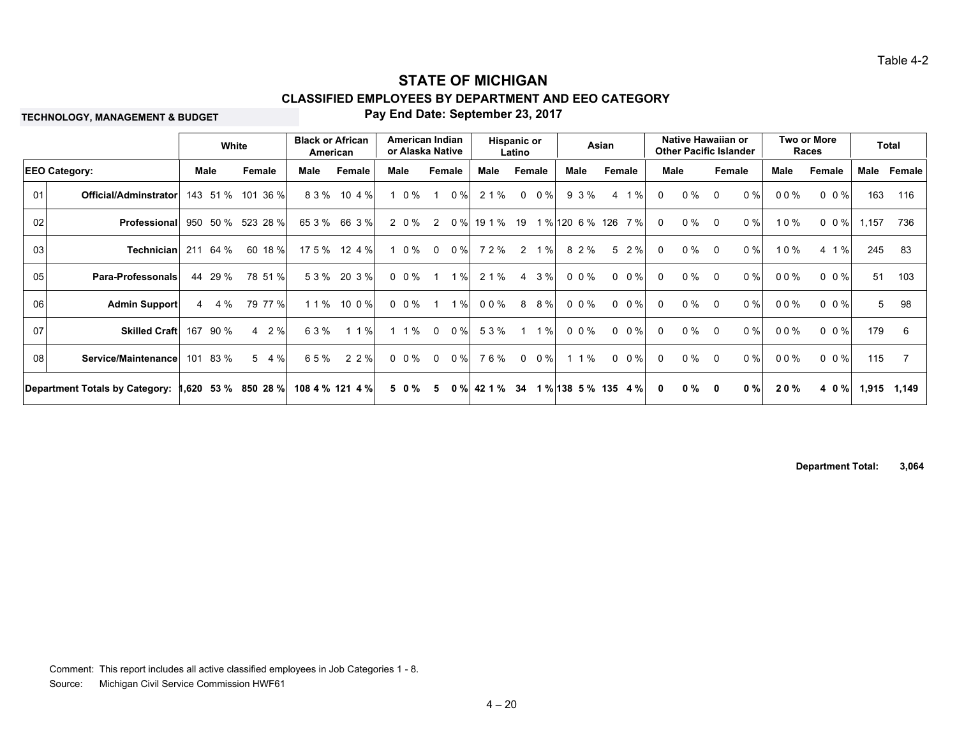**TECHNOLOGY, MANAGEMENT & BUDGET**

#### **Pay End Date: September 23, 2017**

|                 |                                       |     | White    |                      | <b>Black or African</b><br>American |                 |      |           | American Indian<br>or Alaska Native |       |        | <b>Hispanic or</b><br>Latino |             |                 |           | Asian               |             |              | Native Hawaiian or<br><b>Other Pacific Islander</b> |          |        |        | Two or More<br>Races |       | <b>Total</b> |
|-----------------|---------------------------------------|-----|----------|----------------------|-------------------------------------|-----------------|------|-----------|-------------------------------------|-------|--------|------------------------------|-------------|-----------------|-----------|---------------------|-------------|--------------|-----------------------------------------------------|----------|--------|--------|----------------------|-------|--------------|
|                 | <b>EEO Category:</b>                  |     | Male     | Female               | Male                                | Female          | Male |           | Female                              |       | Male   |                              | Female      | Male            |           | Female              |             | Male         |                                                     |          | Female | Male   | Female               | Male  | Female       |
| 01              | Official/Adminstrator                 |     | 143 51 % | 101 36 %             | 83%                                 | 10 4 %          |      | 0 %       |                                     | 0%    | 2 1 %  | $\mathbf 0$                  | $0\%$       |                 | 9 3 %     | 4                   | 1%          | $\Omega$     | $0\%$                                               | $\Omega$ | $0\%$  | 00%    | $0 \t0\%$            | 163   | 116          |
| 02 <sub>l</sub> | <b>Professional</b>                   | 950 | 50 %     | 523 28 %             | 653%                                | 66 3 %          |      | 2 0 %     | 2                                   | $0\%$ | 19 1 % | 19                           |             | 1 % 120 6 % 126 |           |                     | 7%          | $\Omega$     | $0\%$                                               | $\Omega$ | $0\%$  | 10%    | $0 \t0\%$            | 1,157 | 736          |
| 03              | Technician                            | 211 | 64 %     | 60 18 %              | 175%                                | 12 4 %          |      | $0\%$     | $\overline{0}$                      | 0%    | 72%    | 2                            | 1%          |                 | 8 2 %     |                     | 5 2 %       | $\Omega$     | $0\%$                                               | $\Omega$ | 0%     | 10%    | 4 1 %                | 245   | 83           |
| 05              | Para-Professonals                     |     | 44 29 %  | 78 51 %              |                                     | 53% 203%        |      | $0 \t0\%$ |                                     | 1%    | 2 1 %  | 4                            | 3%          |                 | 0 0 %     |                     | $0 \t 0 \%$ | $\Omega$     | $0\%$                                               | $\Omega$ | 0%     | 00%    | $0 \t0\%$            | 51    | 103          |
| 06              | <b>Admin Support</b>                  |     | 4 4 %    | 79 77 %              | 1 1 %                               | 10 0 %          |      | $0 \t0\%$ |                                     | 1%    | 00%    | 8                            | 8 %         |                 | 0 0 %     |                     | $0 \t 0 \%$ | $\Omega$     | $0\%$                                               | $\Omega$ | 0%     | $00\%$ | $0 \t0\%$            | 5     | 98           |
| 07              | <b>Skilled Craft</b>                  | 167 | 90%      | 2%<br>$\overline{4}$ | 63%                                 | 1 1 %           |      | 1%        | $\mathbf 0$                         | 0%    | 53%    |                              | 1%          |                 | $0 \t0\%$ |                     | $0 \t 0 \%$ | $\Omega$     | $0\%$                                               | $\Omega$ | 0%     | 00%    | $0 \t0\frac{9}{6}$   | 179   | 6            |
| 08 <sub>l</sub> | Service/Maintenance                   | 101 | 83 %     | 5 4 %                | 65%                                 | 2 2 %           |      | $0\ 0\%$  | $\overline{\mathbf{0}}$             | $0\%$ | 76%    |                              | $0 \t 0 \%$ |                 | 1 1 %     |                     | $0 \t 0 \%$ | $\Omega$     | $0\%$                                               | $\Omega$ | $0\%$  | 00%    | $0 \t0\%$            | 115   | -7           |
|                 | <b>Department Totals by Category:</b> |     |          | 1,620 53 % 850 28 %  |                                     | 108 4 % 121 4 % |      | 50%       | 5                                   | 0%    | 42 1 % | 34                           |             |                 |           | 1 % 138 5 % 135 4 % |             | $\mathbf{0}$ | 0 %                                                 | 0        | 0%     | 20%    | 4 0 %                | 1,915 | 1,149        |

**Department Total: 3,064**

Comment: This report includes all active classified employees in Job Categories 1 - 8.

Source: Michigan Civil Service Commission HWF61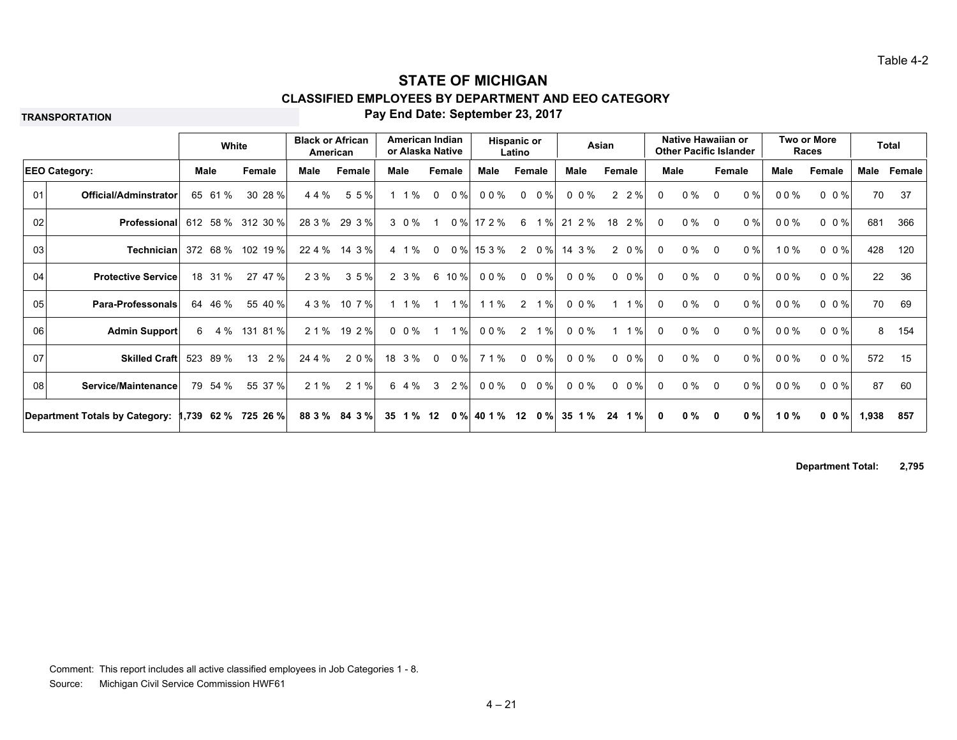**TRANSPORTATION**

#### **Pay End Date: September 23, 2017**

|    |                                       |      | White   |                     | <b>Black or African</b><br>American |               |      | American Indian<br>or Alaska Native |                |        | Hispanic or  | Latino      |             |           | Asian                   |              | Native Hawaiian or<br><b>Other Pacific Islander</b> |             |       |      | Two or More<br>Races    |       | <b>Total</b> |
|----|---------------------------------------|------|---------|---------------------|-------------------------------------|---------------|------|-------------------------------------|----------------|--------|--------------|-------------|-------------|-----------|-------------------------|--------------|-----------------------------------------------------|-------------|-------|------|-------------------------|-------|--------------|
|    | <b>EEO Category:</b>                  | Male |         | Female              | Male                                | Female        | Male |                                     | Female         |        | Male         | Female      |             | Male      | Female                  |              | Male                                                | Female      |       | Male | Female                  | Male  | Female       |
| 01 | Official/Adminstrator                 |      | 65 61 % | 30 28 %             | 44%                                 | 55%           |      | $1 \t1\%$                           | $\mathbf{0}$   | $0\%$  | 00%          | $\mathbf 0$ | $0\%$       | $0 \t0\%$ | $2\;\;2\;\%$            | $\Omega$     | $0\%$                                               | $\Omega$    | 0%    | 00%  | $0 \t0\%$               | 70    | 37           |
| 02 | Professional                          |      |         | 612 58 % 312 30 %   | 28 3 %                              | 29 3 %        |      | 3 0 %                               |                | $0\%$  | 17 2 %       | 6           | 1%          | 21 2 %    | 2%<br>18                | 0            | $0\%$                                               | $\Omega$    | $0\%$ | 00%  | $0 \t0\%$               | 681   | 366          |
| 03 | <b>Technician</b> 372 68 % 102 19 %   |      |         |                     | 22 4 %                              | 14 3 %        |      | 4 1 %                               | $\mathbf 0$    |        | $0\%$ 15 3 % |             | 2 0 %       | 14 3 %    | 2 0 %                   | $\mathbf 0$  | $0\%$                                               | $\mathbf 0$ | $0\%$ | 10%  | $0 \t 0 \t \frac{9}{6}$ | 428   | 120          |
| 04 | <b>Protective Service</b>             |      | 18 31 % | 27 47 %             | 2 3 %                               | 35%           |      | 2 3 %                               |                | 6 10 % | 00%          |             | $0 \t 0\%$  | 0 0 %     | $0 \t 0\%$              | $\mathbf{0}$ | $0\%$                                               | $\Omega$    | $0\%$ | 00%  | $0 \t0\%$               | 22    | 36           |
| 05 | <b>Para-Professonals</b>              | 64   | 46 %    | 55 40 %             | 4 3 %                               | 10 7 %        |      | $1 \t1\%$                           | $\overline{1}$ | 1%     | 1 1 %        |             | 2 1 %       | 0.0%      | 1%<br>1                 | $\mathbf{0}$ | $0\%$                                               | $\Omega$    | $0\%$ | 00%  | $0 \t0\%$               | 70    | 69           |
| 06 | Admin Support                         |      |         | 6 4 % 131 81 %      | 2 1 %                               | 19 2 %        |      | $0\;\;0\;\%$                        | $\mathbf{1}$   | 1%     | 00%          |             | 2 1 %       | 0 0 %     | $1 \t1%$                | $\Omega$     | $0\%$                                               | $\Omega$    | $0\%$ | 00%  | $0 \t 0 \t \frac{9}{6}$ | 8     | 154          |
| 07 | <b>Skilled Craft</b>                  | 523  | 89 %    | 13<br>2%            | 24 4 %                              | 2 0 %         |      | 18 3 %                              | $\mathbf{0}$   | 0%     | 7 1 %        | $\Omega$    | $0\%$       | 0.0%      | $0 \t 0 \t \frac{9}{6}$ | $\Omega$     | $0\%$                                               | $\Omega$    | $0\%$ | 00%  | $0 \t0\%$               | 572   | 15           |
| 08 | Service/Maintenance                   |      | 79 54 % | 55 37 %             | 2 1 %                               | 2 1 %         |      | 6 4 %                               | $\mathbf{3}$   | 2%     | 00%          |             | $0 \t 0 \%$ | $0 \t0\%$ | $0 \t 0 \%$             | $\Omega$     | $0\%$                                               | $\Omega$    | $0\%$ | 00%  | $0 \t0\%$               | 87    | 60           |
|    | <b>Department Totals by Category:</b> |      |         | 1,739 62 % 725 26 % |                                     | 88 3 % 84 3 % |      | 35 1 %                              | 12             | 0%     | 40 1 %       | 12          | $0\%$       | 35 1 %    | $1\%$<br>24             | $\mathbf{0}$ | $0 \%$                                              | $\mathbf 0$ | 0%    | 10%  | $0 \t0 \%$              | 1,938 | 857          |

**Department Total: 2,795**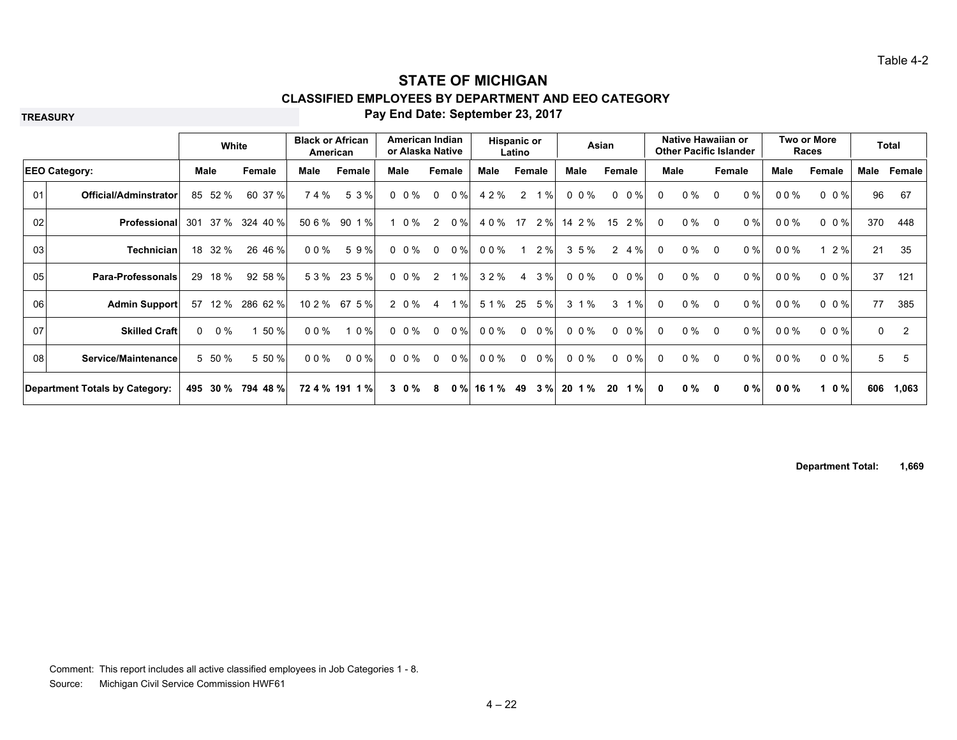**TREASURY**

#### **Pay End Date: September 23, 2017**

|    |                                |                   | White             |        | <b>Black or African</b><br>American |      |           | American Indian<br>or Alaska Native |       |        | Hispanic or<br>Latino |             |            | Asian                 |              | Native Hawaiian or<br><b>Other Pacific Islander</b> |                |        |      | <b>Two or More</b><br>Races |          | <b>Total</b>   |
|----|--------------------------------|-------------------|-------------------|--------|-------------------------------------|------|-----------|-------------------------------------|-------|--------|-----------------------|-------------|------------|-----------------------|--------------|-----------------------------------------------------|----------------|--------|------|-----------------------------|----------|----------------|
|    | <b>EEO Category:</b>           | Male              | Female            | Male   | Female                              | Male |           | Female                              |       | Male   |                       | Female      | Male       | Female                |              | Male                                                |                | Female | Male | Female                      | Male     | Female         |
| 01 | <b>Official/Adminstrator</b>   | 52 %<br>85        | 60 37 %           | 74%    | 5 3 %                               |      | $0 \t0\%$ | $\mathbf 0$                         | $0\%$ | 4 2 %  | 2                     | 1%          | $0 \t0\%$  | $0 \t 0 \%$           | 0            | $0\%$                                               | $\Omega$       | 0%     | 00%  | $0 \t 0 \t \frac{9}{6}$     | 96       | 67             |
| 02 | Professional                   | 37 %<br>301       | 324 40 %          | 50 6 % | 90 1 %                              |      | 0 %       | 2                                   | $0\%$ | 4 0 %  | 17                    | 2%          | 14 2 %     | 2%<br>15              | 0            | $0\%$                                               | $\Omega$       | 0%     | 00%  | $0\,0\%$                    | 370      | 448            |
| 03 | <b>Technician</b>              | 18 32 %           | 26 46 %           | 00%    | 59%                                 |      | $0 \t0\%$ | $\Omega$                            | $0\%$ | 00%    |                       | 2%          | $3\;5\;\%$ | 4 %<br>$\overline{2}$ | $\Omega$     | $0\%$                                               | $\Omega$       | 0%     | 00%  | 12%                         | 21       | 35             |
| 05 | Para-Professonals              | 18 %<br>29        | 92 58 %           |        | 53% 235%                            |      | $0 \t0\%$ | 2                                   | 1%    | 32%    |                       | 4 3 %       | 0 0 %      | $0 \t 0 \%$           | $\Omega$     | $0\%$                                               | $\overline{0}$ | 0%     | 00%  | $0 \t 0 \%$                 | 37       | 121            |
| 06 | <b>Admin Support</b>           | 57<br>12 %        | 286 62 %          | 10 2 % | 67 5 %                              |      | 2 0 %     | 4                                   | 1%    | 5 1 %  | 25                    | 5%          | 3 1 %      | 1%<br>3               | 0            | 0 %                                                 | 0              | 0%     | 00%  | 0 0 %                       | 77       | 385            |
| 07 | <b>Skilled Craft</b>           | $0\%$<br>$\Omega$ | 50 %              | $00\%$ | 1 0 %                               |      | $0 \t0\%$ | $\mathbf 0$                         | 0%    | 00%    | $\Omega$              | 0%          | $0 \t0\%$  | $0 \t 0 \%$           | $\Omega$     | $0\%$                                               | $\Omega$       | 0%     | 00%  | $0 \t 0 \t \frac{9}{6}$     | $\Omega$ | $\overline{2}$ |
| 08 | Service/Maintenance            | 5 50 %            | 5 50 %            | 00%    | $0 \t0\frac{9}{6}$                  |      | $0\ 0\%$  | $\Omega$                            | $0\%$ | 00%    |                       | $0 \t 0 \%$ | 0 0 %      | $0 \t 0 \%$           | $\Omega$     | $0\%$                                               | $\overline{0}$ | 0%     | 00%  | $0 \t0\%$                   | 5        | 5              |
|    | Department Totals by Category: |                   | 495 30 % 794 48 % |        | 72 4 % 191 1 %                      |      | $3 \t0\%$ | 8                                   | 0%    | 16 1 % | 49                    | 3%          | 20 1 %     | 20<br>1%              | $\mathbf{0}$ | 0 %                                                 | 0              | $0 \%$ | 00%  | 1 0 %                       | 606      | 1,063          |

**Department Total: 1,669**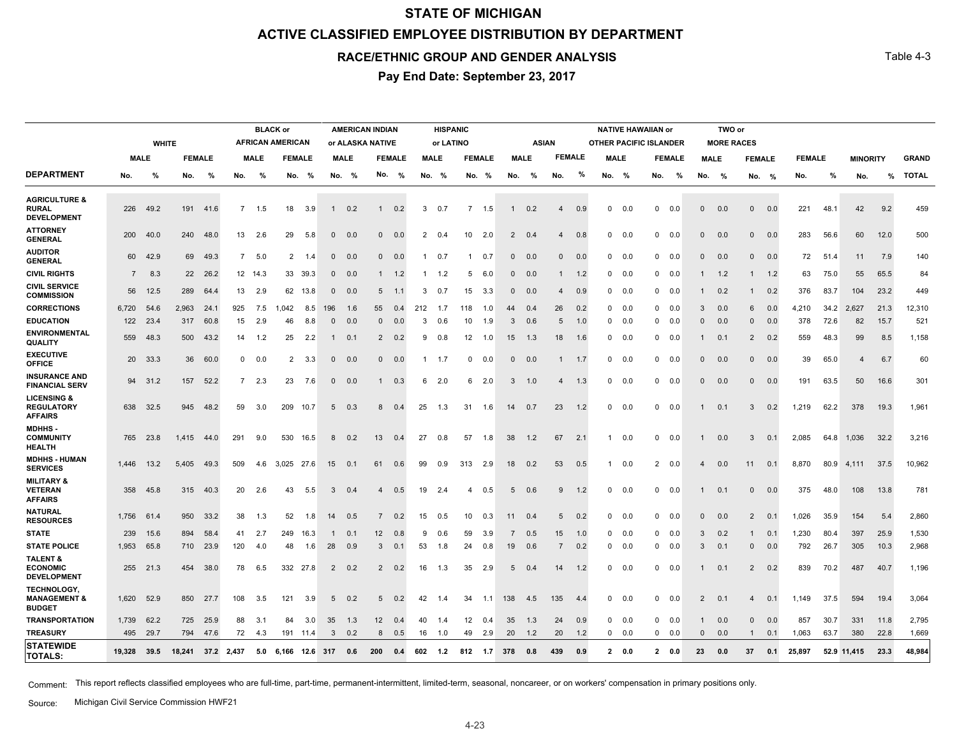# **STATE OF MICHIGAN ACTIVE CLASSIFIED EMPLOYEE DISTRIBUTION BY DEPARTMENT**

#### **RACE/ETHNIC GROUP AND GENDER ANALYSIS**

**Pay End Date: September 23, 2017**

|                                                                |                |              |        |               |                |             | <b>BLACK or</b>         |          |              |             | <b>AMERICAN INDIAN</b> |               |              | <b>HISPANIC</b> |                 |               |                |             |                |               |              |               | <b>NATIVE HAWAIIAN or</b>     |               |                | TWO or            |                |     |               |      |                 |      |              |
|----------------------------------------------------------------|----------------|--------------|--------|---------------|----------------|-------------|-------------------------|----------|--------------|-------------|------------------------|---------------|--------------|-----------------|-----------------|---------------|----------------|-------------|----------------|---------------|--------------|---------------|-------------------------------|---------------|----------------|-------------------|----------------|-----|---------------|------|-----------------|------|--------------|
|                                                                |                | <b>WHITE</b> |        |               |                |             | <b>AFRICAN AMERICAN</b> |          |              |             | or ALASKA NATIVE       |               |              | or LATINO       |                 |               |                |             | <b>ASIAN</b>   |               |              |               | <b>OTHER PACIFIC ISLANDER</b> |               |                | <b>MORE RACES</b> |                |     |               |      |                 |      |              |
|                                                                | <b>MALE</b>    |              |        | <b>FEMALE</b> |                | <b>MALE</b> | <b>FEMALE</b>           |          |              | <b>MALE</b> |                        | <b>FEMALE</b> |              | <b>MALE</b>     |                 | <b>FEMALE</b> |                | <b>MALE</b> |                | <b>FEMALE</b> |              | <b>MALE</b>   |                               | <b>FEMALE</b> |                | <b>MALE</b>       | <b>FEMALE</b>  |     | <b>FEMALE</b> |      | <b>MINORITY</b> |      | <b>GRAND</b> |
| <b>DEPARTMENT</b>                                              | No.            | %            | No.    | %             | No.            | %           | No.                     | %        |              | No. %       | No.                    | %             |              | No. %           |                 | No. %         |                | No. %       | No.            | %             |              | No. %         | No.                           | %             | No.            | %                 | No. %          |     | No.           | %    | No.             | %    | <b>TOTAL</b> |
| <b>AGRICULTURE &amp;</b><br><b>RURAL</b><br><b>DEVELOPMENT</b> |                | 226 49.2     | 191    | 41.6          | $7^{\circ}$    | 1.5         | 18                      | 3.9      | $\mathbf{1}$ | 0.2         | 1                      | 0.2           | 3            | 0.7             | $\overline{7}$  | 1.5           | $\mathbf{1}$   | 0.2         | $\overline{4}$ | 0.9           | $\mathbf{0}$ | 0.0           | $\mathbf{0}$                  | 0.0           | $\Omega$       | 0.0               | $\Omega$       | 0.0 | 221           | 48.1 | 42              | 9.2  | 459          |
| <b>ATTORNEY</b><br><b>GENERAL</b>                              | 200            | 40.0         | 240    | 48.0          | 13             | 2.6         | 29                      | 5.8      | $\mathbf{0}$ | 0.0         | $\mathbf{0}$           | 0.0           | 2            | 0.4             | 10              | 2.0           | $\overline{2}$ | 0.4         | $\overline{4}$ | 0.8           | $\mathbf{0}$ | 0.0           | $^{\circ}$                    | 0.0           | $\Omega$       | 0.0               | $\Omega$       | 0.0 | 283           | 56.6 | 60              | 12.0 | 500          |
| <b>AUDITOR</b><br><b>GENERAL</b>                               |                | 60 42.9      | 69     | 49.3          | $7^{\circ}$    | 5.0         | $\overline{2}$          | 1.4      | $\mathbf{0}$ | 0.0         |                        | $0\quad 0.0$  | $\mathbf{1}$ | 0.7             |                 | $1 \t 0.7$    | $\mathbf{0}$   | 0.0         | $\mathbf 0$    | 0.0           |              | $0\quad 0.0$  |                               | $0\quad 0.0$  | $\Omega$       | 0.0               | $\mathbf{0}$   | 0.0 | 72            | 51.4 | 11              | 7.9  | 140          |
| <b>CIVIL RIGHTS</b>                                            | $\overline{7}$ | 8.3          | 22     | 26.2          |                | 12 14.3     |                         | 33 39.3  | $\mathbf{0}$ | 0.0         |                        | $1 \t 1.2$    |              | 1.2             | 5               | 6.0           | $\mathbf{0}$   | 0.0         | $\mathbf{1}$   | 1.2           |              | $0\quad 0.0$  | $^{\circ}$                    | 0.0           |                | 1.2               |                | 1.2 | 63            | 75.0 | 55              | 65.5 | 84           |
| <b>CIVIL SERVICE</b><br><b>COMMISSION</b>                      | 56             | 12.5         | 289    | 64.4          | 13             | 2.9         |                         | 62 13.8  | $\Omega$     | 0.0         | 5 <sup>5</sup>         | 1.1           | 3            | 0.7             | 15              | 3.3           | $\Omega$       | 0.0         | $\overline{4}$ | 0.9           |              | $0\quad 0.0$  |                               | $0 \t 0.0$    |                | 0.2               |                | 0.2 | 376           | 83.7 | 104             | 23.2 | 449          |
| <b>CORRECTIONS</b>                                             | 6,720          | 54.6         | 2,963  | 24.1          | 925            | 7.5         | 1,042                   | 8.5      | 196          | 1.6         | 55                     | 0.4           | 212          | 1.7             | 118             | 1.0           | 44             | 0.4         | 26             | 0.2           |              | $0\quad 0.0$  | $\mathbf{0}$                  | 0.0           | 3              | 0.0               | 6              | 0.0 | 4,210         | 34.2 | 2,627           | 21.3 | 12,310       |
| <b>EDUCATION</b>                                               |                | 122 23.4     | 317    | 60.8          | 15             | 2.9         | 46                      | 8.8      | $\mathbf{0}$ | 0.0         | $\mathbf{0}$           | 0.0           | 3            | 0.6             | 10              | 1.9           | 3              | 0.6         | 5              | 1.0           |              | $0\quad 0.0$  |                               | $0\quad 0.0$  | $\Omega$       | 0.0               | $\mathbf{0}$   | 0.0 | 378           | 72.6 | 82              | 15.7 | 521          |
| <b>ENVIRONMENTAL</b><br>QUALITY                                | 559            | 48.3         | 500    | 43.2          | 14             | 1.2         | 25                      | 2.2      | -1           | 0.1         | $\overline{2}$         | 0.2           | 9            | 0.8             | 12 <sup>2</sup> | 1.0           | 15             | 1.3         | 18             | 1.6           |              | $0\quad 0.0$  |                               | $0\quad 0.0$  |                | 0.1               | 2              | 0.2 | 559           | 48.3 | 99              | 8.5  | 1,158        |
| <b>EXECUTIVE</b><br><b>OFFICE</b>                              |                | 20 33.3      | 36     | 60.0          | $\mathbf{0}$   | 0.0         | $\overline{2}$          | 3.3      | $\mathbf{0}$ | 0.0         | $\mathbf{0}$           | 0.0           | $\mathbf{1}$ | 1.7             | $\mathbf 0$     | 0.0           | $\mathbf{0}$   | 0.0         | -1             | 1.7           | $\mathbf{0}$ | 0.0           | $^{\circ}$                    | 0.0           | $\Omega$       | 0.0               | $\Omega$       | 0.0 | 39            | 65.0 | $\overline{4}$  | 6.7  | 60           |
| <b>INSURANCE AND</b><br><b>FINANCIAL SERV</b>                  |                | 94 31.2      | 157    | 52.2          | $\overline{7}$ | 2.3         | 23                      | 7.6      | $\mathbf{0}$ | 0.0         | $\mathbf{1}$           | 0.3           | 6            | 2.0             | 6               | 2.0           | 3              | 1.0         | $\overline{4}$ | 1.3           |              | $0\quad 0.0$  | $\mathbf{0}$                  | 0.0           | $\Omega$       | 0.0               | $\Omega$       | 0.0 | 191           | 63.5 | 50              | 16.6 | 301          |
| <b>LICENSING &amp;</b><br><b>REGULATORY</b><br><b>AFFAIRS</b>  |                | 638 32.5     | 945    | 48.2          | 59             | 3.0         |                         | 209 10.7 | 5            | 0.3         | 8                      | 0.4           | 25           | 1.3             |                 | 31 1.6        | 14             | 0.7         | 23             | 1.2           |              | $0\quad 0.0$  |                               | $0\quad 0.0$  |                | 0.1               | 3              | 0.2 | 1,219         | 62.2 | 378             | 19.3 | 1,961        |
| MDHHS-<br><b>COMMUNITY</b><br><b>HEALTH</b>                    | 765            | 23.8         | 1,415  | 44.0          | 291            | 9.0         | 530                     | 16.5     | 8            | 0.2         | 13                     | 0.4           | 27           | 0.8             | 57              | 1.8           | 38             | 1.2         | 67             | 2.1           | $\mathbf{1}$ | 0.0           |                               | $0\quad 0.0$  | 1              | 0.0               | 3              | 0.1 | 2.085         |      | 64.8 1,036      | 32.2 | 3,216        |
| <b>MDHHS-HUMAN</b><br><b>SERVICES</b>                          | 1.446          | 13.2         | 5.405  | 49.3          | 509            | 4.6         | 3.025 27.6              |          | 15           | 0.1         | 61                     | 0.6           | 99           | 0.9             | 313             | 2.9           | 18             | 0.2         | 53             | 0.5           | $\mathbf{1}$ | 0.0           | $\overline{2}$                | 0.0           |                | 0.0               | 11             | 0.1 | 8.870         | 80.9 | 4.111           | 37.5 | 10,962       |
| <b>MILITARY &amp;</b><br><b>VETERAN</b><br><b>AFFAIRS</b>      | 358            | 45.8         | 315    | 40.3          | 20             | 2.6         | 43                      | 5.5      | 3            | 0.4         | $\overline{4}$         | 0.5           | 19           | 2.4             | 4               | 0.5           | 5              | 0.6         | 9              | 1.2           |              | $0\quad 0.0$  |                               | $0\quad 0.0$  | -1             | 0.1               | $\mathbf 0$    | 0.0 | 375           | 48.0 | 108             | 13.8 | 781          |
| <b>NATURAL</b><br><b>RESOURCES</b>                             | 1,756 61.4     |              | 950    | 33.2          | 38             | 1.3         | 52                      | 1.8      | 14           | 0.5         | $\overline{7}$         | 0.2           | 15           | 0.5             | 10              | 0.3           | 11             | 0.4         | 5              | 0.2           |              | $0\quad 0.0$  |                               | $0\quad 0.0$  | $\Omega$       | 0.0               | $\overline{2}$ | 0.1 | 1,026         | 35.9 | 154             | 5.4  | 2,860        |
| <b>STATE</b>                                                   | 239            | 15.6         | 894    | 58.4          | 41             | 2.7         | 249                     | 16.3     |              | 0.1         | 12                     | 0.8           | 9            | 0.6             | 59              | 3.9           | 7              | 0.5         | 15             | 1.0           |              | $0\quad 0.0$  | $\mathbf{0}$                  | 0.0           | 3              | 0.2               |                | 0.1 | 1,230         | 80.4 | 397             | 25.9 | 1,530        |
| <b>STATE POLICE</b>                                            | 1,953          | 65.8         | 710    | 23.9          | 120            | 4.0         | 48                      | 1.6      | 28           | 0.9         | 3                      | 0.1           | 53           | 1.8             | 24              | 0.8           | 19             | 0.6         | $\overline{7}$ | 0.2           |              | $0\quad 0.0$  |                               | $0\quad 0.0$  | 3              | 0.1               | $\Omega$       | 0.0 | 792           | 26.7 | 305             | 10.3 | 2,968        |
| <b>TALENT &amp;</b><br><b>ECONOMIC</b><br><b>DEVELOPMENT</b>   |                | 255 21.3     | 454    | 38.0          | 78             | 6.5         |                         | 332 27.8 | $2^{\circ}$  | 0.2         |                        | $2 \t 0.2$    | 16           | 1.3             | 35              | 2.9           | 5              | 0.4         | 14             | 1.2           |              | $0\quad 0.0$  |                               | $0\quad 0.0$  | $\mathbf{1}$   | 0.1               | $\overline{2}$ | 0.2 | 839           | 70.2 | 487             | 40.7 | 1,196        |
| TECHNOLOGY,<br><b>MANAGEMENT &amp;</b><br><b>BUDGET</b>        | 1,620          | 52.9         | 850    | 27.7          | 108            | 3.5         | 121                     | 3.9      | 5            | 0.2         | $5\overline{5}$        | 0.2           | 42           | 1.4             | 34              | 1.1           | 138            | 4.5         | 135            | 4.4           | $\mathbf{0}$ | 0.0           | $\mathbf{0}$                  | 0.0           | $\overline{2}$ | 0.1               | $\overline{4}$ | 0.1 | 1,149         | 37.5 | 594             | 19.4 | 3,064        |
| <b>TRANSPORTATION</b>                                          | 1,739          | 62.2         | 725    | 25.9          | 88             | 3.1         | 84                      | 3.0      | 35           | 1.3         | 12                     | 0.4           | 40           | 1.4             | 12 <sup>2</sup> | 0.4           | 35             | 1.3         | 24             | 0.9           |              | $0\quad 0.0$  |                               | $0\quad 0.0$  |                | 0.0               | $\Omega$       | 0.0 | 857           | 30.7 | 331             | 11.8 | 2,795        |
| <b>TREASURY</b>                                                | 495            | 29.7         | 794    | 47.6          | 72             | 4.3         |                         | 191 11.4 | $\mathbf{3}$ | 0.2         | 8                      | 0.5           | 16           | 1.0             | 49              | 2.9           | 20             | 1.2         | 20             | 1.2           |              | $0 \quad 0.0$ |                               | $0\quad 0.0$  | $\Omega$       | 0.0               | $\mathbf{1}$   | 0.1 | 1.063         | 63.7 | 380             | 22.8 | 1,669        |
| <b>STATEWIDE</b><br><b>TOTALS:</b>                             | 19.328 39.5    |              | 18.241 |               | 37.2 2,437     | 5.0         | 6.166 12.6 317          |          |              | 0.6         | 200                    | 0.4           | 602          | 1.2             | 812             | 1.7           | 378            | 0.8         | 439            | 0.9           |              | 20.0          |                               | 20.0          | 23             | 0.0               | 37             | 0.1 | 25.897        |      | 52.9 11,415     | 23.3 | 48,984       |

Comment: This report reflects classified employees who are full-time, part-time, permanent-intermittent, limited-term, seasonal, noncareer, or on workers' compensation in primary positions only.

Michigan Civil Service Commission HWF21 Source:

Table 4-3